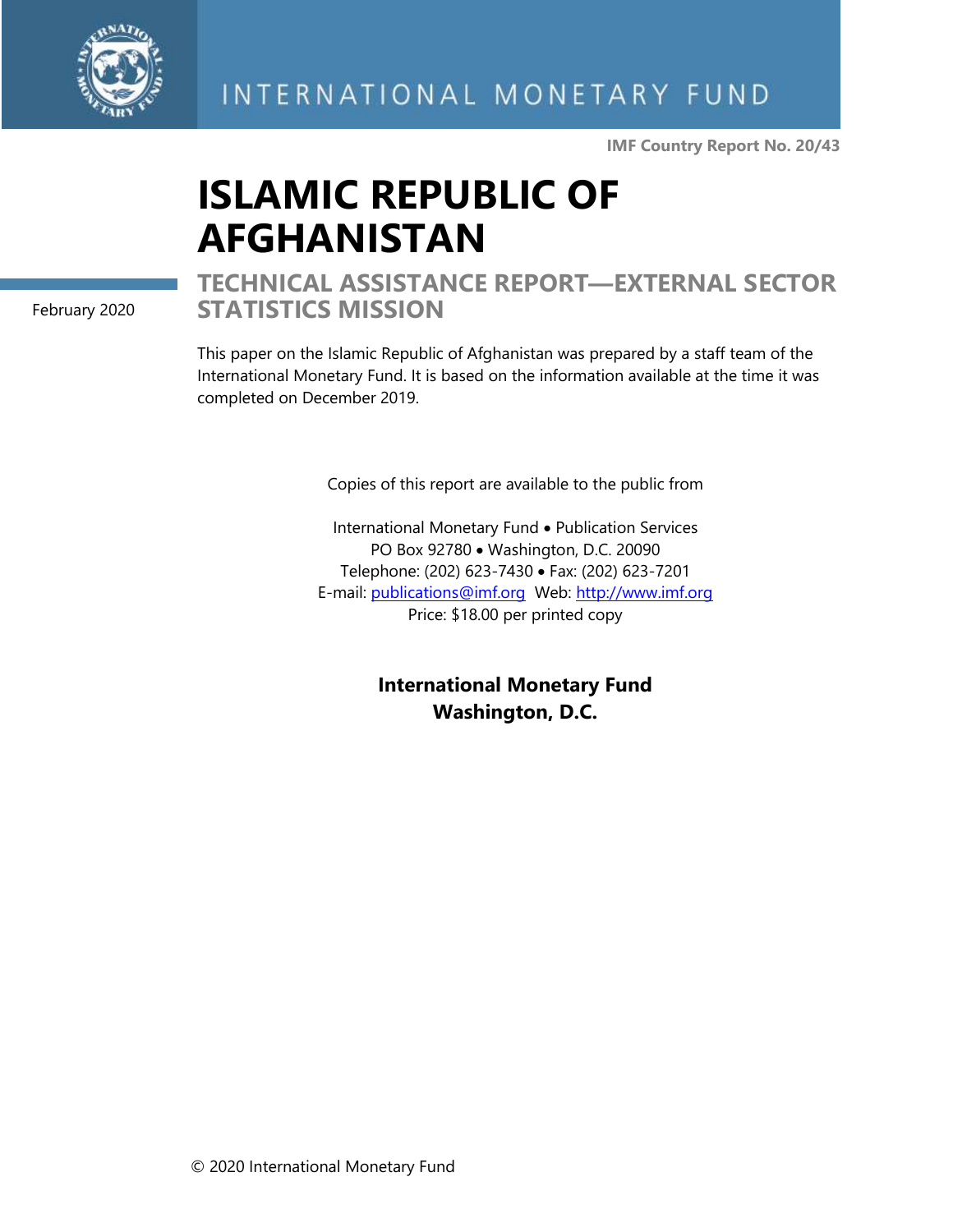

**IMF Country Report No. 20/43**

# **ISLAMIC REPUBLIC OF AFGHANISTAN**

February 2020

## **TECHNICAL ASSISTANCE REPORT—EXTERNAL SECTOR STATISTICS MISSION**

This paper on the Islamic Republic of Afghanistan was prepared by a staff team of the International Monetary Fund. It is based on the information available at the time it was completed on December 2019.

Copies of this report are available to the public from

International Monetary Fund • Publication Services PO Box 92780 • Washington, D.C. 20090 Telephone: (202) 623-7430 • Fax: (202) 623-7201 E-mail: [publications@imf.org](mailto:publications@imf.org) Web: [http://www.imf.org](http://www.imf.org/) Price: \$18.00 per printed copy

> **International Monetary Fund Washington, D.C.**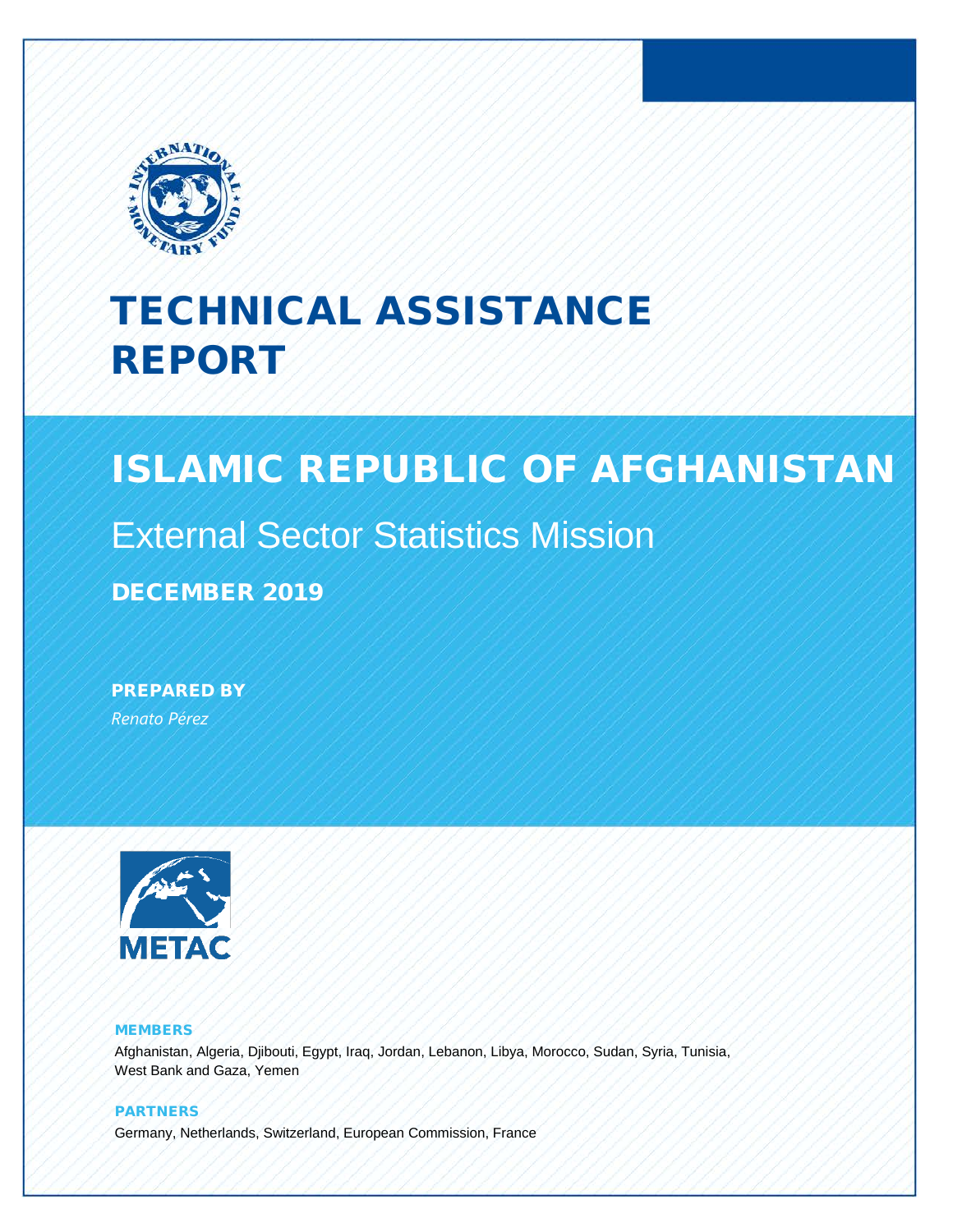

## TECHNICAL ASSISTANCE REPORT

## ISLAMIC REPUBLIC OF AFGHANISTAN

## External Sector Statistics Mission

DECEMBER 2019

PREPARED BY *Renato Pérez*



#### MEMBERS

Afghanistan, Algeria, Djibouti, Egypt, Iraq, Jordan, Lebanon, Libya, Morocco, Sudan, Syria, Tunisia, West Bank and Gaza, Yemen

PARTNERS Germany, Netherlands, Switzerland, European Commission, France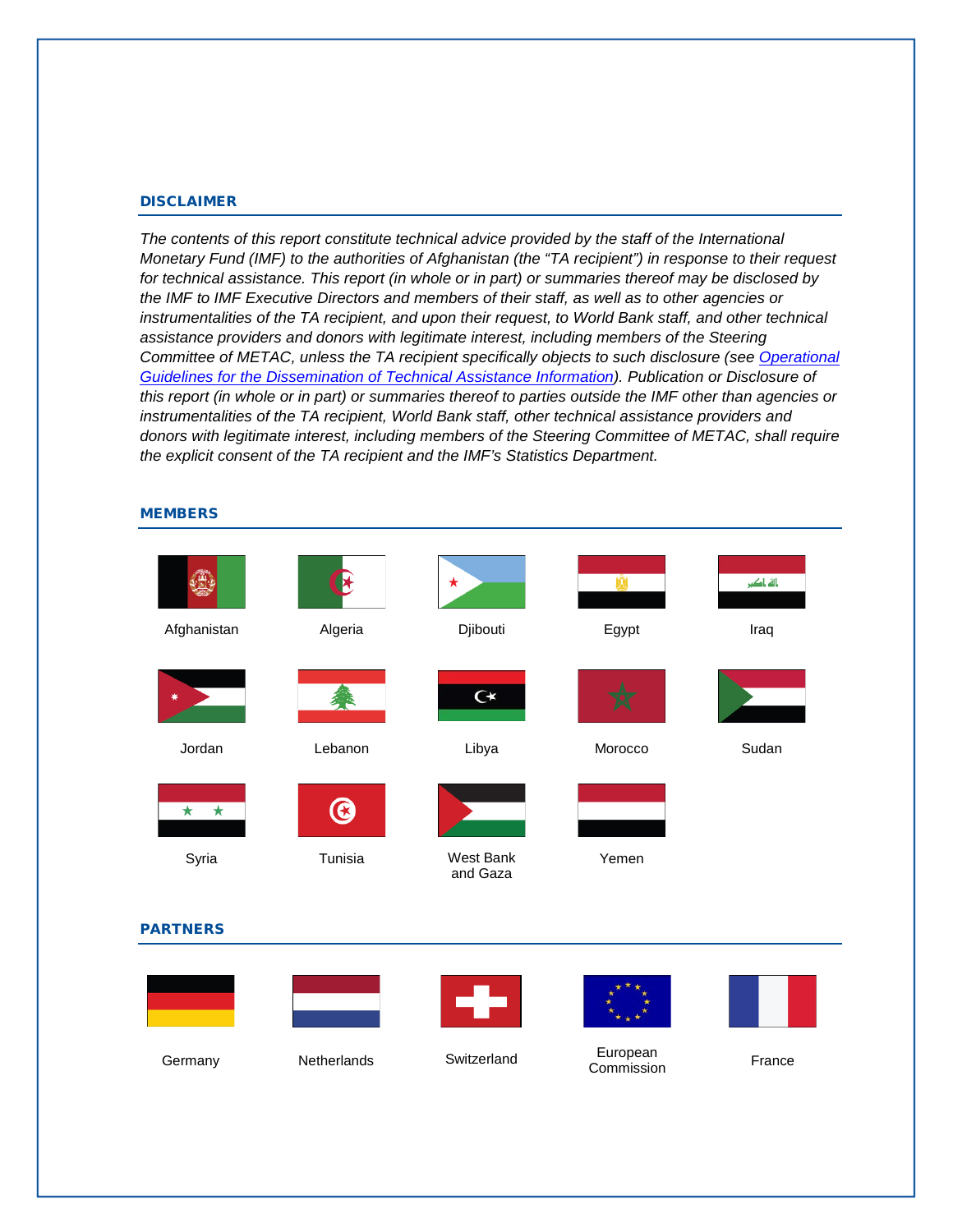#### DISCLAIMER

*The contents of this report constitute technical advice provided by the staff of the International Monetary Fund (IMF) to the authorities of Afghanistan (the "TA recipient") in response to their request for technical assistance. This report (in whole or in part) or summaries thereof may be disclosed by the IMF to IMF Executive Directors and members of their staff, as well as to other agencies or instrumentalities of the TA recipient, and upon their request, to World Bank staff, and other technical*  assistance providers and donors with legitimate interest, including members of the Steering *Committee of METAC, unless the TA recipient specifically objects to such disclosure (see [Operational](http://www.imf.org/external/np/pp/eng/2013/061013.pdf)  [Guidelines for the Dissemination of Technical Assistance Information\)](http://www.imf.org/external/np/pp/eng/2013/061013.pdf). Publication or Disclosure of this report (in whole or in part) or summaries thereof to parties outside the IMF other than agencies or instrumentalities of the TA recipient, World Bank staff, other technical assistance providers and donors with legitimate interest, including members of the Steering Committee of METAC, shall require the explicit consent of the TA recipient and the IMF's Statistics Department.* 

#### **MEMBERS**

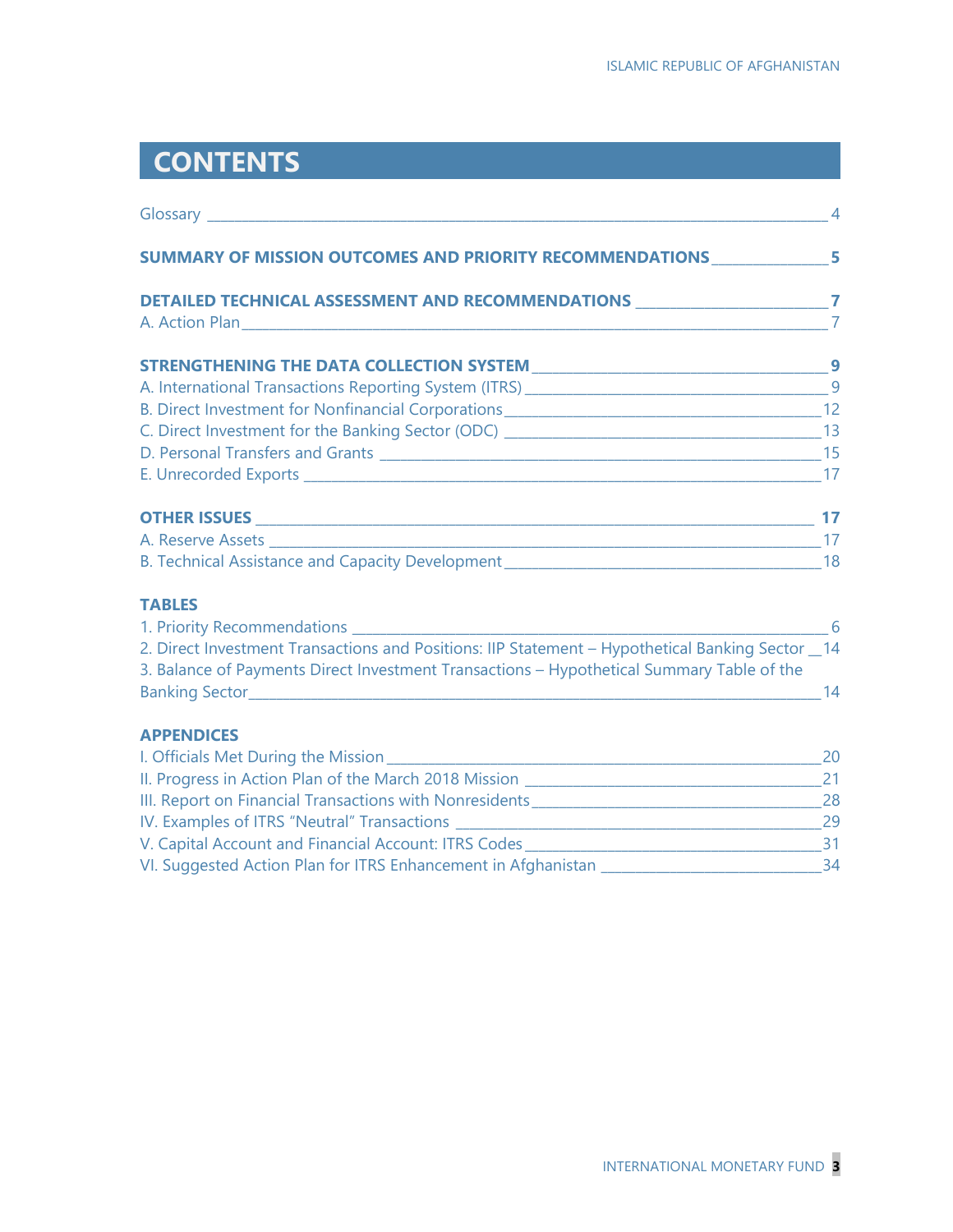## **CONTENTS**

| <b>SUMMARY OF MISSION OUTCOMES AND PRIORITY RECOMMENDATIONS 55 External SUMMARY OF MISSION OUTCOMES AND PRIORITY</b>                                                                          |                |
|-----------------------------------------------------------------------------------------------------------------------------------------------------------------------------------------------|----------------|
| DETAILED TECHNICAL ASSESSMENT AND RECOMMENDATIONS ____________________________7                                                                                                               |                |
|                                                                                                                                                                                               | $\overline{7}$ |
|                                                                                                                                                                                               |                |
|                                                                                                                                                                                               |                |
|                                                                                                                                                                                               |                |
|                                                                                                                                                                                               |                |
|                                                                                                                                                                                               |                |
|                                                                                                                                                                                               |                |
|                                                                                                                                                                                               |                |
|                                                                                                                                                                                               |                |
|                                                                                                                                                                                               |                |
| <b>TABLES</b>                                                                                                                                                                                 |                |
|                                                                                                                                                                                               |                |
| 2. Direct Investment Transactions and Positions: IIP Statement - Hypothetical Banking Sector _14<br>3. Balance of Payments Direct Investment Transactions - Hypothetical Summary Table of the |                |
| Banking Sector 14                                                                                                                                                                             |                |
| <b>APPENDICES</b>                                                                                                                                                                             |                |
|                                                                                                                                                                                               |                |
|                                                                                                                                                                                               |                |
|                                                                                                                                                                                               |                |
|                                                                                                                                                                                               |                |
|                                                                                                                                                                                               |                |
| VI. Suggested Action Plan for ITRS Enhancement in Afghanistan ___________________________________34                                                                                           |                |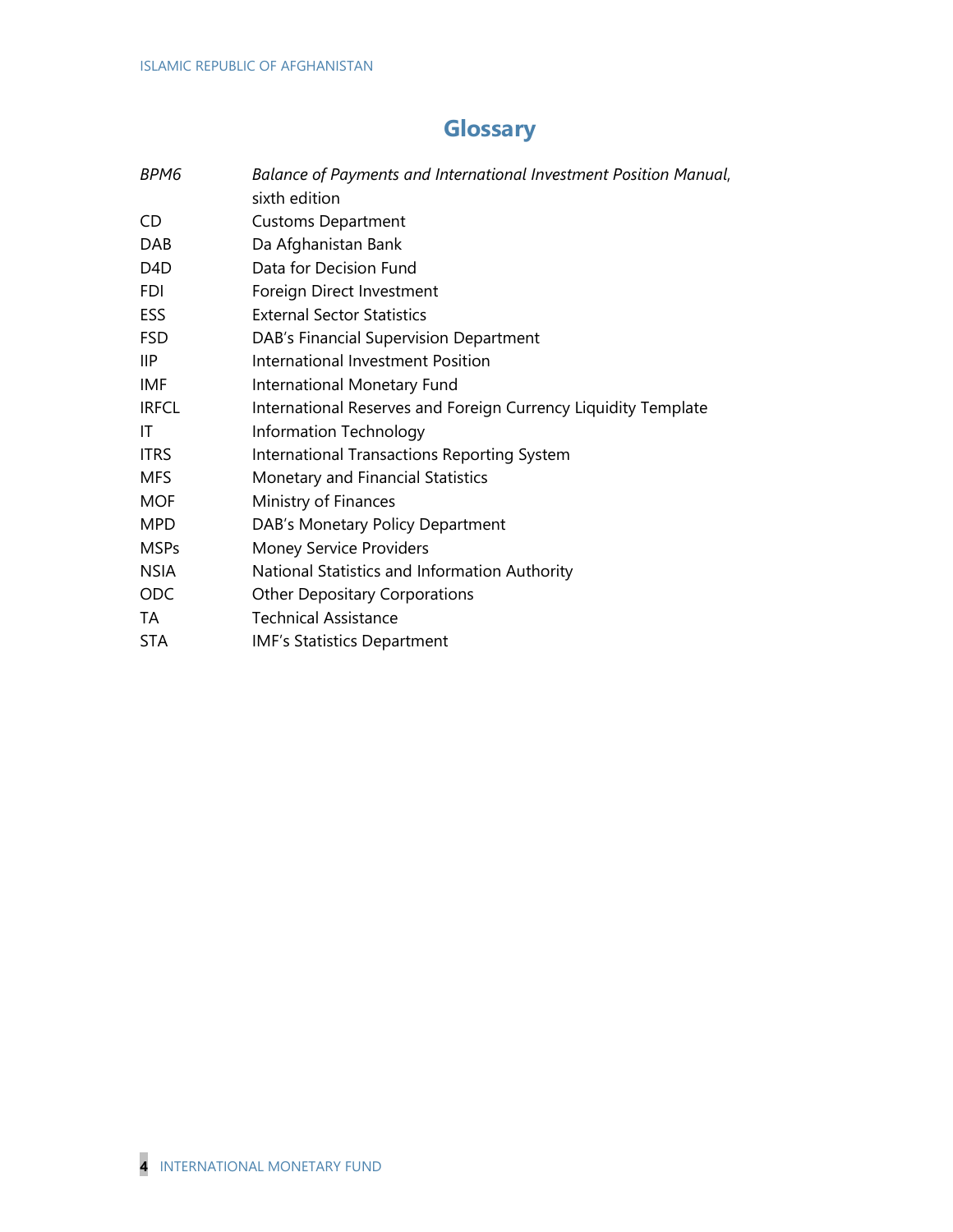## **Glossary**

| BPM6             | Balance of Payments and International Investment Position Manual,<br>sixth edition |
|------------------|------------------------------------------------------------------------------------|
| CD               | <b>Customs Department</b>                                                          |
| <b>DAB</b>       | Da Afghanistan Bank                                                                |
| D <sub>4</sub> D | Data for Decision Fund                                                             |
| <b>FDI</b>       | Foreign Direct Investment                                                          |
| ESS              | <b>External Sector Statistics</b>                                                  |
| <b>FSD</b>       | DAB's Financial Supervision Department                                             |
| IIP              | International Investment Position                                                  |
| IMF              | International Monetary Fund                                                        |
| <b>IRFCL</b>     | International Reserves and Foreign Currency Liquidity Template                     |
| IT               | Information Technology                                                             |
| <b>ITRS</b>      | International Transactions Reporting System                                        |
| <b>MFS</b>       | Monetary and Financial Statistics                                                  |
| <b>MOF</b>       | Ministry of Finances                                                               |
| <b>MPD</b>       | DAB's Monetary Policy Department                                                   |
| <b>MSPs</b>      | <b>Money Service Providers</b>                                                     |
| <b>NSIA</b>      | National Statistics and Information Authority                                      |
| ODC              | <b>Other Depositary Corporations</b>                                               |
| TA               | <b>Technical Assistance</b>                                                        |
| <b>STA</b>       | <b>IMF's Statistics Department</b>                                                 |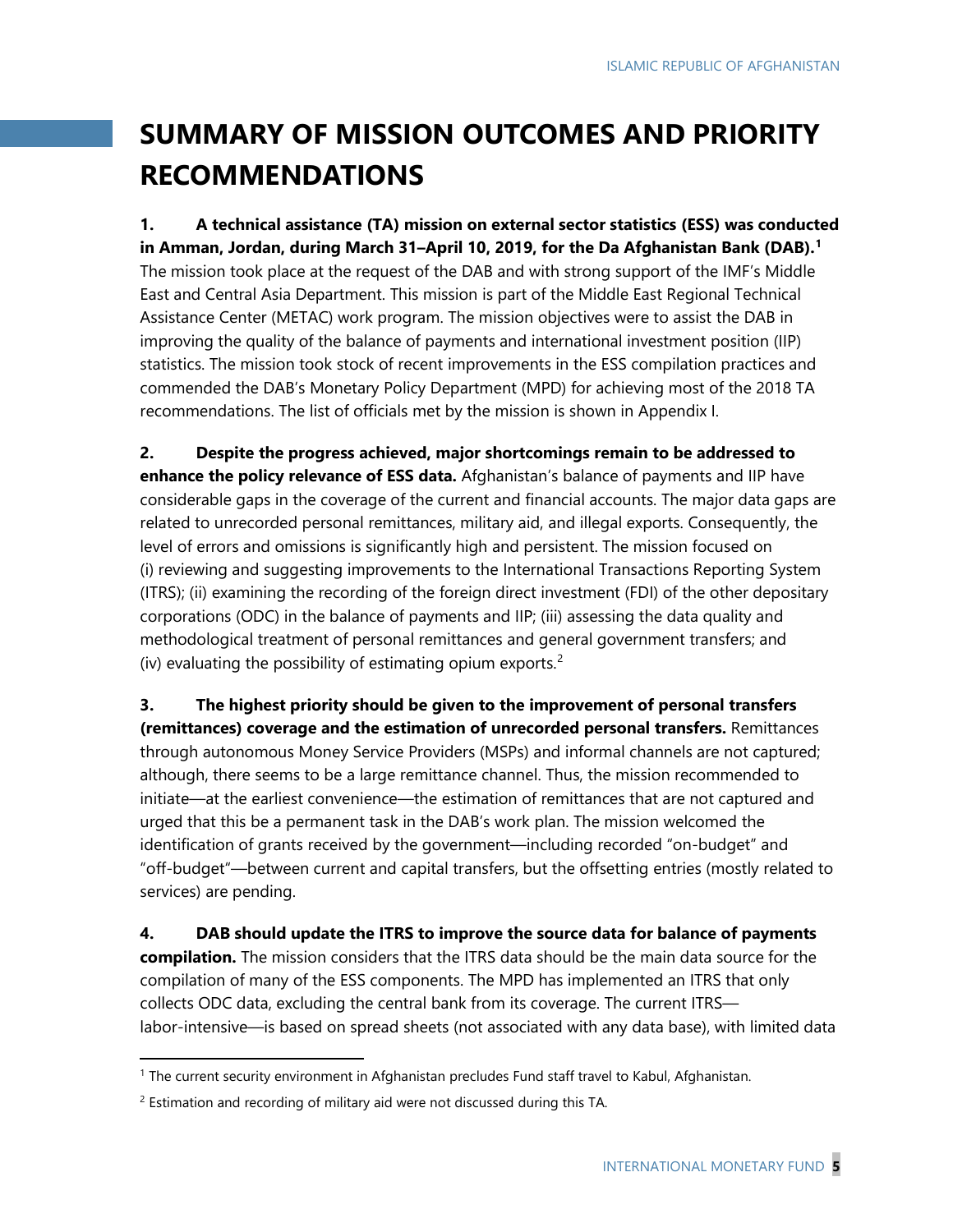## **SUMMARY OF MISSION OUTCOMES AND PRIORITY RECOMMENDATIONS**

**1. A technical assistance (TA) mission on external sector statistics (ESS) was conducted in Amman, Jordan, during March 31–April 10, 2019, for the Da Afghanistan Bank (DAB).[1](#page-5-0)** The mission took place at the request of the DAB and with strong support of the IMF's Middle East and Central Asia Department. This mission is part of the Middle East Regional Technical Assistance Center (METAC) work program. The mission objectives were to assist the DAB in improving the quality of the balance of payments and international investment position (IIP) statistics. The mission took stock of recent improvements in the ESS compilation practices and commended the DAB's Monetary Policy Department (MPD) for achieving most of the 2018 TA recommendations. The list of officials met by the mission is shown in Appendix I.

**2. Despite the progress achieved, major shortcomings remain to be addressed to enhance the policy relevance of ESS data.** Afghanistan's balance of payments and IIP have considerable gaps in the coverage of the current and financial accounts. The major data gaps are related to unrecorded personal remittances, military aid, and illegal exports. Consequently, the level of errors and omissions is significantly high and persistent. The mission focused on (i) reviewing and suggesting improvements to the International Transactions Reporting System (ITRS); (ii) examining the recording of the foreign direct investment (FDI) of the other depositary corporations (ODC) in the balance of payments and IIP; (iii) assessing the data quality and methodological treatment of personal remittances and general government transfers; and (iv) evaluating the possibility of estimating opium exports. [2](#page-5-1)

**3. The highest priority should be given to the improvement of personal transfers (remittances) coverage and the estimation of unrecorded personal transfers.** Remittances through autonomous Money Service Providers (MSPs) and informal channels are not captured; although, there seems to be a large remittance channel. Thus, the mission recommended to initiate—at the earliest convenience—the estimation of remittances that are not captured and urged that this be a permanent task in the DAB's work plan. The mission welcomed the identification of grants received by the government—including recorded "on-budget" and "off-budget"—between current and capital transfers, but the offsetting entries (mostly related to services) are pending.

**4. DAB should update the ITRS to improve the source data for balance of payments compilation.** The mission considers that the ITRS data should be the main data source for the compilation of many of the ESS components. The MPD has implemented an ITRS that only collects ODC data, excluding the central bank from its coverage. The current ITRS labor-intensive—is based on spread sheets (not associated with any data base), with limited data

l

<span id="page-5-0"></span><sup>1</sup> The current security environment in Afghanistan precludes Fund staff travel to Kabul, Afghanistan.

<span id="page-5-1"></span><sup>&</sup>lt;sup>2</sup> Estimation and recording of military aid were not discussed during this TA.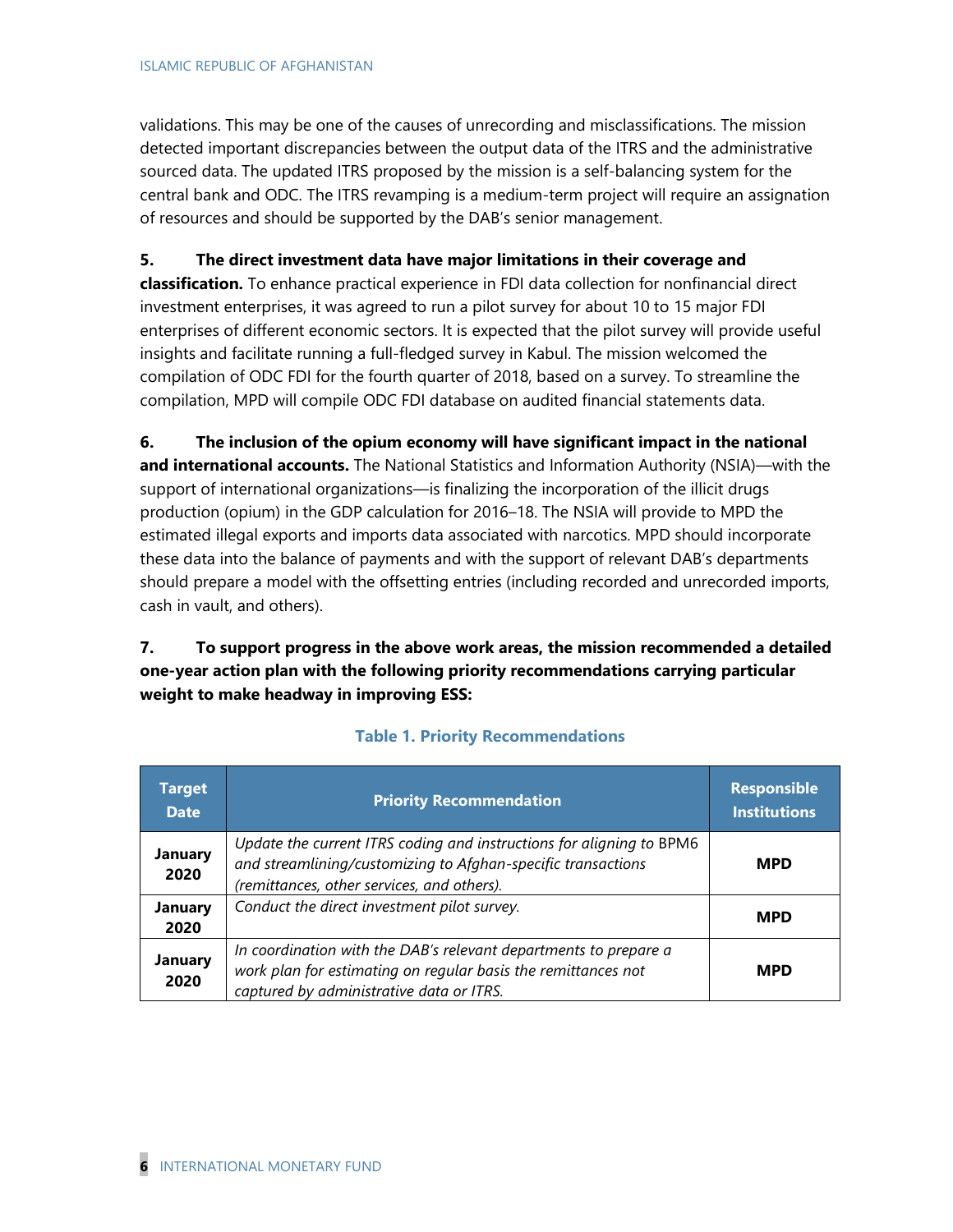validations. This may be one of the causes of unrecording and misclassifications. The mission detected important discrepancies between the output data of the ITRS and the administrative sourced data. The updated ITRS proposed by the mission is a self-balancing system for the central bank and ODC. The ITRS revamping is a medium-term project will require an assignation of resources and should be supported by the DAB's senior management.

### **5. The direct investment data have major limitations in their coverage and**

**classification.** To enhance practical experience in FDI data collection for nonfinancial direct investment enterprises, it was agreed to run a pilot survey for about 10 to 15 major FDI enterprises of different economic sectors. It is expected that the pilot survey will provide useful insights and facilitate running a full-fledged survey in Kabul. The mission welcomed the compilation of ODC FDI for the fourth quarter of 2018, based on a survey. To streamline the compilation, MPD will compile ODC FDI database on audited financial statements data.

**6. The inclusion of the opium economy will have significant impact in the national and international accounts.** The National Statistics and Information Authority (NSIA)—with the support of international organizations—is finalizing the incorporation of the illicit drugs production (opium) in the GDP calculation for 2016–18. The NSIA will provide to MPD the estimated illegal exports and imports data associated with narcotics. MPD should incorporate these data into the balance of payments and with the support of relevant DAB's departments should prepare a model with the offsetting entries (including recorded and unrecorded imports, cash in vault, and others).

**7. To support progress in the above work areas, the mission recommended a detailed one-year action plan with the following priority recommendations carrying particular weight to make headway in improving ESS:**

| <b>Target</b><br><b>Date</b> | <b>Priority Recommendation</b>                                                                                                                                                     | <b>Responsible</b><br><b>Institutions</b> |
|------------------------------|------------------------------------------------------------------------------------------------------------------------------------------------------------------------------------|-------------------------------------------|
| <b>January</b><br>2020       | Update the current ITRS coding and instructions for aligning to BPM6<br>and streamlining/customizing to Afghan-specific transactions<br>(remittances, other services, and others). | <b>MPD</b>                                |
| <b>January</b><br>2020       | Conduct the direct investment pilot survey.                                                                                                                                        | <b>MPD</b>                                |
| January<br>2020              | In coordination with the DAB's relevant departments to prepare a<br>work plan for estimating on regular basis the remittances not<br>captured by administrative data or ITRS.      | <b>MPD</b>                                |

### **Table 1. Priority Recommendations**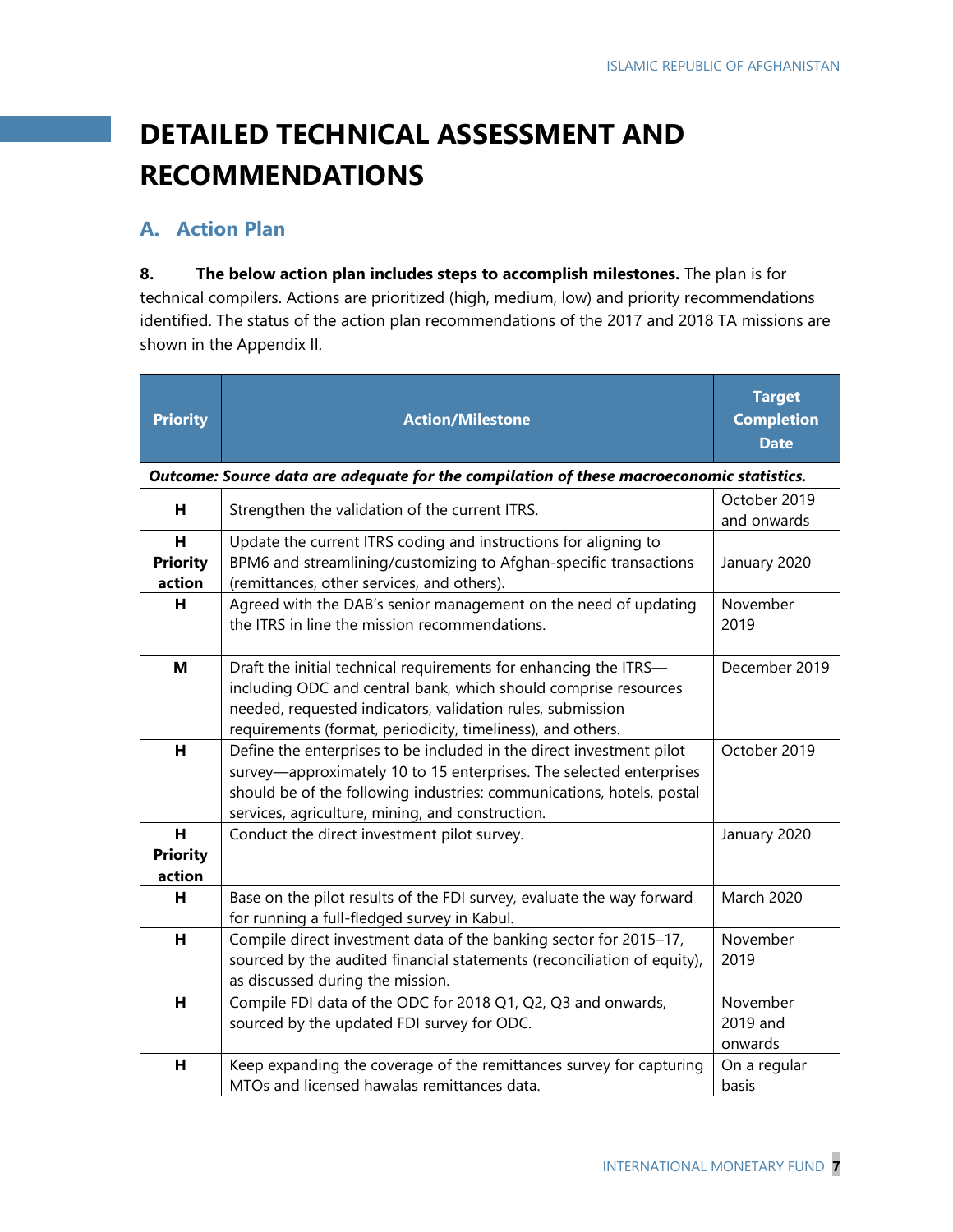## **DETAILED TECHNICAL ASSESSMENT AND RECOMMENDATIONS**

## **A. Action Plan**

**8. The below action plan includes steps to accomplish milestones.** The plan is for technical compilers. Actions are prioritized (high, medium, low) and priority recommendations identified. The status of the action plan recommendations of the 2017 and 2018 TA missions are shown in the Appendix II.

| <b>Priority</b>                                                                          | <b>Action/Milestone</b>                                                                                                                                                                                                                                                  | <b>Target</b><br><b>Completion</b><br><b>Date</b> |  |  |  |  |
|------------------------------------------------------------------------------------------|--------------------------------------------------------------------------------------------------------------------------------------------------------------------------------------------------------------------------------------------------------------------------|---------------------------------------------------|--|--|--|--|
| Outcome: Source data are adequate for the compilation of these macroeconomic statistics. |                                                                                                                                                                                                                                                                          |                                                   |  |  |  |  |
| н                                                                                        | Strengthen the validation of the current ITRS.                                                                                                                                                                                                                           | October 2019<br>and onwards                       |  |  |  |  |
| н<br><b>Priority</b><br>action                                                           | Update the current ITRS coding and instructions for aligning to<br>BPM6 and streamlining/customizing to Afghan-specific transactions<br>(remittances, other services, and others).                                                                                       | January 2020                                      |  |  |  |  |
| н                                                                                        | Agreed with the DAB's senior management on the need of updating<br>the ITRS in line the mission recommendations.                                                                                                                                                         | November<br>2019                                  |  |  |  |  |
| M                                                                                        | Draft the initial technical requirements for enhancing the ITRS-<br>including ODC and central bank, which should comprise resources<br>needed, requested indicators, validation rules, submission<br>requirements (format, periodicity, timeliness), and others.         | December 2019                                     |  |  |  |  |
| H                                                                                        | Define the enterprises to be included in the direct investment pilot<br>survey—approximately 10 to 15 enterprises. The selected enterprises<br>should be of the following industries: communications, hotels, postal<br>services, agriculture, mining, and construction. | October 2019                                      |  |  |  |  |
| H<br><b>Priority</b><br>action                                                           | Conduct the direct investment pilot survey.                                                                                                                                                                                                                              | January 2020                                      |  |  |  |  |
| H                                                                                        | Base on the pilot results of the FDI survey, evaluate the way forward<br>for running a full-fledged survey in Kabul.                                                                                                                                                     | <b>March 2020</b>                                 |  |  |  |  |
| H                                                                                        | Compile direct investment data of the banking sector for 2015-17,<br>sourced by the audited financial statements (reconciliation of equity),<br>as discussed during the mission.                                                                                         | November<br>2019                                  |  |  |  |  |
| н                                                                                        | Compile FDI data of the ODC for 2018 Q1, Q2, Q3 and onwards,<br>sourced by the updated FDI survey for ODC.                                                                                                                                                               | November<br>2019 and<br>onwards                   |  |  |  |  |
| н                                                                                        | Keep expanding the coverage of the remittances survey for capturing<br>MTOs and licensed hawalas remittances data.                                                                                                                                                       | On a regular<br>basis                             |  |  |  |  |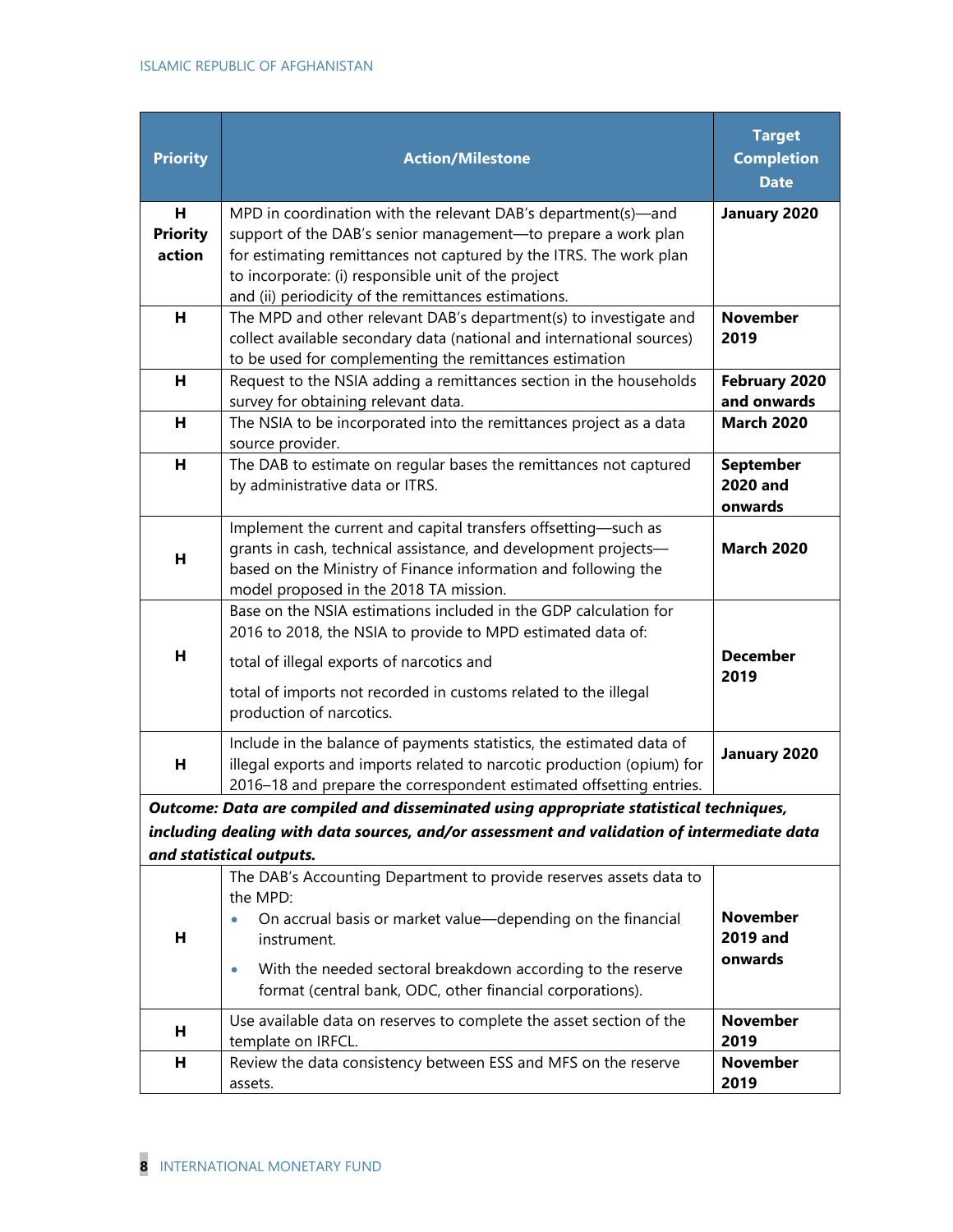| <b>Priority</b>                                                                        | <b>Action/Milestone</b>                                                                                                        | <b>Target</b><br><b>Completion</b><br><b>Date</b> |  |
|----------------------------------------------------------------------------------------|--------------------------------------------------------------------------------------------------------------------------------|---------------------------------------------------|--|
| н<br><b>Priority</b>                                                                   | MPD in coordination with the relevant DAB's department(s)—and<br>support of the DAB's senior management-to prepare a work plan | January 2020                                      |  |
| action                                                                                 | for estimating remittances not captured by the ITRS. The work plan                                                             |                                                   |  |
|                                                                                        | to incorporate: (i) responsible unit of the project                                                                            |                                                   |  |
|                                                                                        | and (ii) periodicity of the remittances estimations.                                                                           |                                                   |  |
| H                                                                                      | The MPD and other relevant DAB's department(s) to investigate and                                                              | <b>November</b>                                   |  |
|                                                                                        | collect available secondary data (national and international sources)                                                          | 2019                                              |  |
| н                                                                                      | to be used for complementing the remittances estimation<br>Request to the NSIA adding a remittances section in the households  | February 2020                                     |  |
|                                                                                        | survey for obtaining relevant data.                                                                                            | and onwards                                       |  |
| н                                                                                      | The NSIA to be incorporated into the remittances project as a data                                                             | <b>March 2020</b>                                 |  |
|                                                                                        | source provider.                                                                                                               |                                                   |  |
| н                                                                                      | The DAB to estimate on regular bases the remittances not captured                                                              | <b>September</b>                                  |  |
|                                                                                        | by administrative data or ITRS.                                                                                                | <b>2020 and</b><br>onwards                        |  |
|                                                                                        | Implement the current and capital transfers offsetting-such as                                                                 |                                                   |  |
| н                                                                                      | grants in cash, technical assistance, and development projects-                                                                | <b>March 2020</b>                                 |  |
|                                                                                        | based on the Ministry of Finance information and following the                                                                 |                                                   |  |
|                                                                                        | model proposed in the 2018 TA mission.<br>Base on the NSIA estimations included in the GDP calculation for                     |                                                   |  |
|                                                                                        | 2016 to 2018, the NSIA to provide to MPD estimated data of:                                                                    |                                                   |  |
| н                                                                                      | total of illegal exports of narcotics and                                                                                      | <b>December</b><br>2019                           |  |
|                                                                                        | total of imports not recorded in customs related to the illegal<br>production of narcotics.                                    |                                                   |  |
|                                                                                        | Include in the balance of payments statistics, the estimated data of                                                           |                                                   |  |
| н                                                                                      | illegal exports and imports related to narcotic production (opium) for                                                         | January 2020                                      |  |
|                                                                                        | 2016-18 and prepare the correspondent estimated offsetting entries.                                                            |                                                   |  |
|                                                                                        | Outcome: Data are compiled and disseminated using appropriate statistical techniques,                                          |                                                   |  |
|                                                                                        | including dealing with data sources, and/or assessment and validation of intermediate data                                     |                                                   |  |
|                                                                                        | and statistical outputs.<br>The DAB's Accounting Department to provide reserves assets data to                                 |                                                   |  |
|                                                                                        | the MPD:                                                                                                                       |                                                   |  |
|                                                                                        | On accrual basis or market value-depending on the financial                                                                    | <b>November</b>                                   |  |
| н                                                                                      | instrument.                                                                                                                    | 2019 and                                          |  |
|                                                                                        | With the needed sectoral breakdown according to the reserve                                                                    | onwards                                           |  |
|                                                                                        | format (central bank, ODC, other financial corporations).                                                                      |                                                   |  |
| Use available data on reserves to complete the asset section of the<br><b>November</b> |                                                                                                                                |                                                   |  |
| н                                                                                      | template on IRFCL.                                                                                                             | 2019                                              |  |
| н                                                                                      | Review the data consistency between ESS and MFS on the reserve                                                                 | <b>November</b>                                   |  |
|                                                                                        | assets.                                                                                                                        | 2019                                              |  |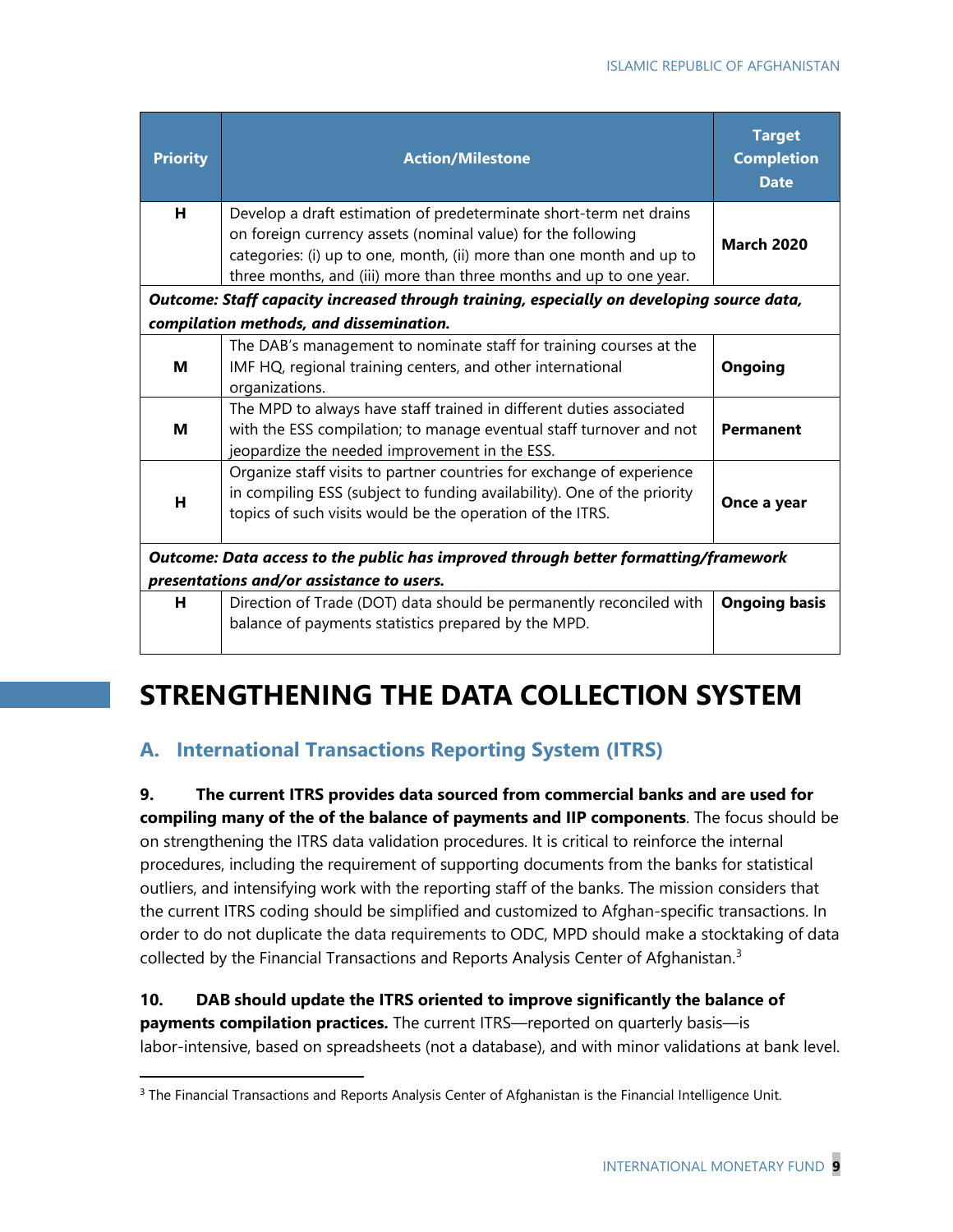| <b>Priority</b>                                                                     | <b>Action/Milestone</b>                                                                                                                                                                                                                                                          | <b>Target</b><br><b>Completion</b><br><b>Date</b> |  |  |
|-------------------------------------------------------------------------------------|----------------------------------------------------------------------------------------------------------------------------------------------------------------------------------------------------------------------------------------------------------------------------------|---------------------------------------------------|--|--|
| н                                                                                   | Develop a draft estimation of predeterminate short-term net drains<br>on foreign currency assets (nominal value) for the following<br>categories: (i) up to one, month, (ii) more than one month and up to<br>three months, and (iii) more than three months and up to one year. | <b>March 2020</b>                                 |  |  |
|                                                                                     | Outcome: Staff capacity increased through training, especially on developing source data,                                                                                                                                                                                        |                                                   |  |  |
|                                                                                     | compilation methods, and dissemination.                                                                                                                                                                                                                                          |                                                   |  |  |
| M                                                                                   | The DAB's management to nominate staff for training courses at the<br>IMF HQ, regional training centers, and other international<br>organizations.                                                                                                                               | <b>Ongoing</b>                                    |  |  |
| м                                                                                   | The MPD to always have staff trained in different duties associated<br>with the ESS compilation; to manage eventual staff turnover and not<br>jeopardize the needed improvement in the ESS.                                                                                      | <b>Permanent</b>                                  |  |  |
| н                                                                                   | Organize staff visits to partner countries for exchange of experience<br>in compiling ESS (subject to funding availability). One of the priority<br>topics of such visits would be the operation of the ITRS.                                                                    | Once a year                                       |  |  |
| Outcome: Data access to the public has improved through better formatting/framework |                                                                                                                                                                                                                                                                                  |                                                   |  |  |
|                                                                                     | presentations and/or assistance to users.                                                                                                                                                                                                                                        |                                                   |  |  |
| н                                                                                   | Direction of Trade (DOT) data should be permanently reconciled with<br>balance of payments statistics prepared by the MPD.                                                                                                                                                       | <b>Ongoing basis</b>                              |  |  |

## **STRENGTHENING THE DATA COLLECTION SYSTEM**

## **A. International Transactions Reporting System (ITRS)**

**9. The current ITRS provides data sourced from commercial banks and are used for compiling many of the of the balance of payments and IIP components**. The focus should be on strengthening the ITRS data validation procedures. It is critical to reinforce the internal procedures, including the requirement of supporting documents from the banks for statistical outliers, and intensifying work with the reporting staff of the banks. The mission considers that the current ITRS coding should be simplified and customized to Afghan-specific transactions. In order to do not duplicate the data requirements to ODC, MPD should make a stocktaking of data collected by the Financial Transactions and Reports Analysis Center of Afghanistan.<sup>[3](#page-9-0)</sup>

### **10. DAB should update the ITRS oriented to improve significantly the balance of payments compilation practices.** The current ITRS—reported on quarterly basis—is labor-intensive, based on spreadsheets (not a database), and with minor validations at bank level.

<span id="page-9-0"></span><sup>&</sup>lt;sup>3</sup> The Financial Transactions and Reports Analysis Center of Afghanistan is the Financial Intelligence Unit.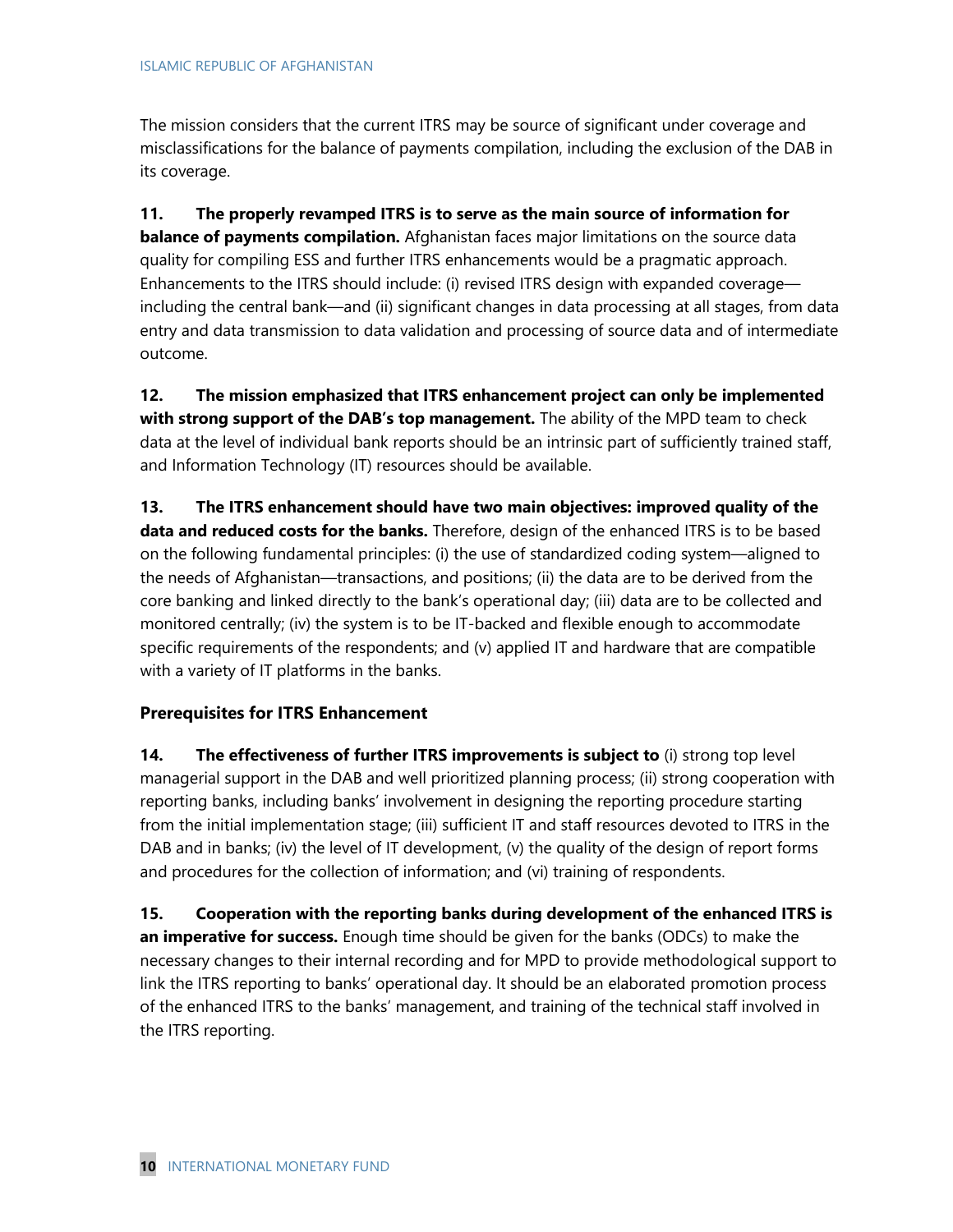The mission considers that the current ITRS may be source of significant under coverage and misclassifications for the balance of payments compilation, including the exclusion of the DAB in its coverage.

**11. The properly revamped ITRS is to serve as the main source of information for balance of payments compilation.** Afghanistan faces major limitations on the source data quality for compiling ESS and further ITRS enhancements would be a pragmatic approach. Enhancements to the ITRS should include: (i) revised ITRS design with expanded coverage including the central bank—and (ii) significant changes in data processing at all stages, from data entry and data transmission to data validation and processing of source data and of intermediate outcome.

**12. The mission emphasized that ITRS enhancement project can only be implemented with strong support of the DAB's top management.** The ability of the MPD team to check data at the level of individual bank reports should be an intrinsic part of sufficiently trained staff, and Information Technology (IT) resources should be available.

**13. The ITRS enhancement should have two main objectives: improved quality of the data and reduced costs for the banks.** Therefore, design of the enhanced ITRS is to be based on the following fundamental principles: (i) the use of standardized coding system—aligned to the needs of Afghanistan—transactions, and positions; (ii) the data are to be derived from the core banking and linked directly to the bank's operational day; (iii) data are to be collected and monitored centrally; (iv) the system is to be IT-backed and flexible enough to accommodate specific requirements of the respondents; and (v) applied IT and hardware that are compatible with a variety of IT platforms in the banks.

### **Prerequisites for ITRS Enhancement**

**14. The effectiveness of further ITRS improvements is subject to** (i) strong top level managerial support in the DAB and well prioritized planning process; (ii) strong cooperation with reporting banks, including banks' involvement in designing the reporting procedure starting from the initial implementation stage; (iii) sufficient IT and staff resources devoted to ITRS in the DAB and in banks; (iv) the level of IT development, (v) the quality of the design of report forms and procedures for the collection of information; and (vi) training of respondents.

**15. Cooperation with the reporting banks during development of the enhanced ITRS is an imperative for success.** Enough time should be given for the banks (ODCs) to make the necessary changes to their internal recording and for MPD to provide methodological support to link the ITRS reporting to banks' operational day. It should be an elaborated promotion process of the enhanced ITRS to the banks' management, and training of the technical staff involved in the ITRS reporting.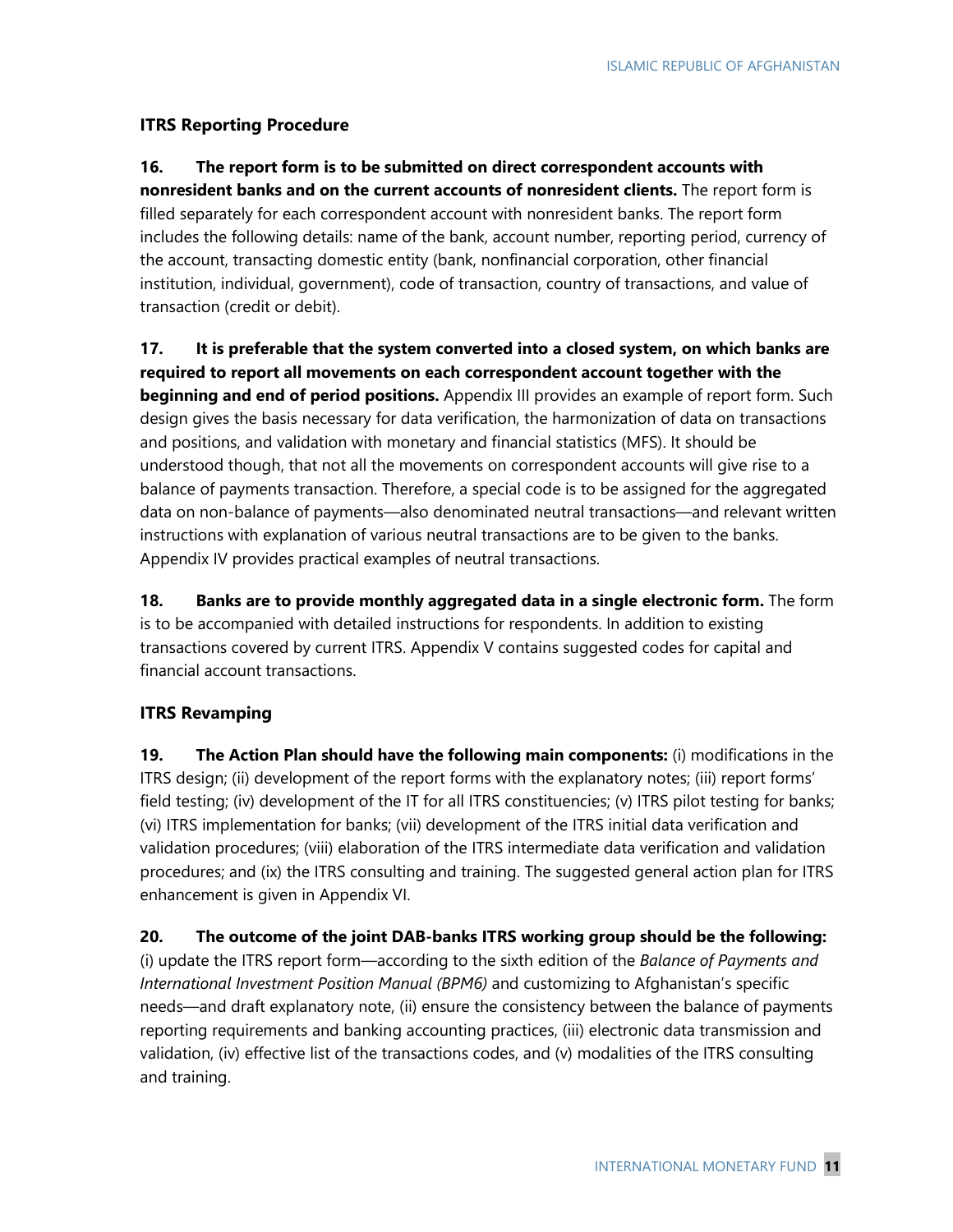#### **ITRS Reporting Procedure**

### **16. The report form is to be submitted on direct correspondent accounts with nonresident banks and on the current accounts of nonresident clients.** The report form is filled separately for each correspondent account with nonresident banks. The report form includes the following details: name of the bank, account number, reporting period, currency of the account, transacting domestic entity (bank, nonfinancial corporation, other financial institution, individual, government), code of transaction, country of transactions, and value of transaction (credit or debit).

**17. It is preferable that the system converted into a closed system, on which banks are required to report all movements on each correspondent account together with the beginning and end of period positions.** Appendix III provides an example of report form. Such design gives the basis necessary for data verification, the harmonization of data on transactions and positions, and validation with monetary and financial statistics (MFS). It should be understood though, that not all the movements on correspondent accounts will give rise to a balance of payments transaction. Therefore, a special code is to be assigned for the aggregated data on non-balance of payments—also denominated neutral transactions—and relevant written instructions with explanation of various neutral transactions are to be given to the banks. Appendix IV provides practical examples of neutral transactions.

**18. Banks are to provide monthly aggregated data in a single electronic form.** The form is to be accompanied with detailed instructions for respondents. In addition to existing transactions covered by current ITRS. Appendix V contains suggested codes for capital and financial account transactions.

### **ITRS Revamping**

**19. The Action Plan should have the following main components:** (i) modifications in the ITRS design; (ii) development of the report forms with the explanatory notes; (iii) report forms' field testing; (iv) development of the IT for all ITRS constituencies; (v) ITRS pilot testing for banks; (vi) ITRS implementation for banks; (vii) development of the ITRS initial data verification and validation procedures; (viii) elaboration of the ITRS intermediate data verification and validation procedures; and (ix) the ITRS consulting and training. The suggested general action plan for ITRS enhancement is given in Appendix VI.

**20. The outcome of the joint DAB-banks ITRS working group should be the following:**

(i) update the ITRS report form—according to the sixth edition of the *Balance of Payments and International Investment Position Manual (BPM6)* and customizing to Afghanistan's specific needs—and draft explanatory note, (ii) ensure the consistency between the balance of payments reporting requirements and banking accounting practices, (iii) electronic data transmission and validation, (iv) effective list of the transactions codes, and (v) modalities of the ITRS consulting and training.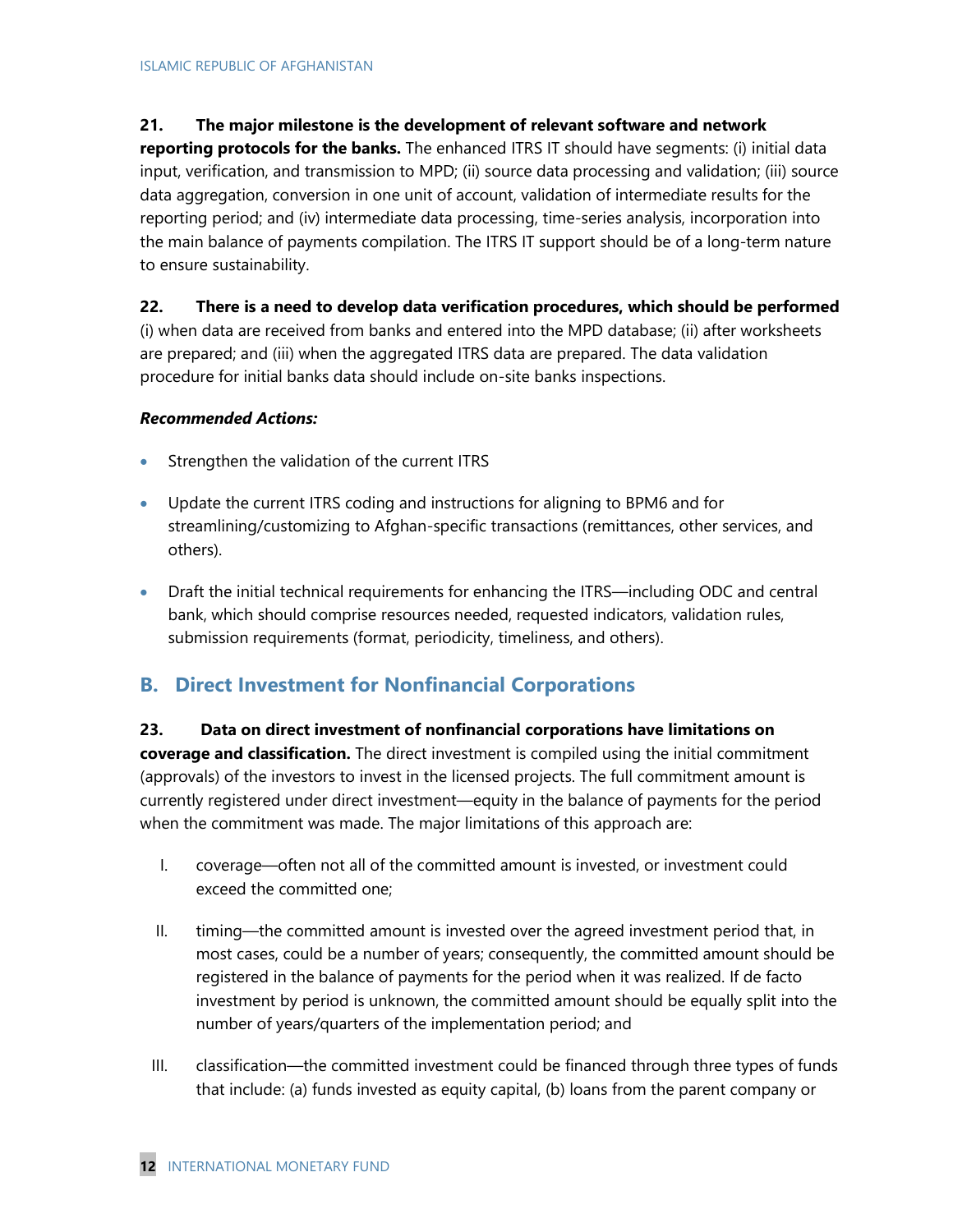### **21. The major milestone is the development of relevant software and network**

**reporting protocols for the banks.** The enhanced ITRS IT should have segments: (i) initial data input, verification, and transmission to MPD; (ii) source data processing and validation; (iii) source data aggregation, conversion in one unit of account, validation of intermediate results for the reporting period; and (iv) intermediate data processing, time-series analysis, incorporation into the main balance of payments compilation. The ITRS IT support should be of a long-term nature to ensure sustainability.

**22. There is a need to develop data verification procedures, which should be performed** (i) when data are received from banks and entered into the MPD database; (ii) after worksheets are prepared; and (iii) when the aggregated ITRS data are prepared. The data validation procedure for initial banks data should include on-site banks inspections.

### *Recommended Actions:*

- Strengthen the validation of the current ITRS
- Update the current ITRS coding and instructions for aligning to BPM6 and for streamlining/customizing to Afghan-specific transactions (remittances, other services, and others).
- Draft the initial technical requirements for enhancing the ITRS—including ODC and central bank, which should comprise resources needed, requested indicators, validation rules, submission requirements (format, periodicity, timeliness, and others).

## **B. Direct Investment for Nonfinancial Corporations**

### **23. Data on direct investment of nonfinancial corporations have limitations on coverage and classification.** The direct investment is compiled using the initial commitment (approvals) of the investors to invest in the licensed projects. The full commitment amount is currently registered under direct investment—equity in the balance of payments for the period when the commitment was made. The major limitations of this approach are:

- I. coverage—often not all of the committed amount is invested, or investment could exceed the committed one;
- II. timing—the committed amount is invested over the agreed investment period that, in most cases, could be a number of years; consequently, the committed amount should be registered in the balance of payments for the period when it was realized. If de facto investment by period is unknown, the committed amount should be equally split into the number of years/quarters of the implementation period; and
- III. classification—the committed investment could be financed through three types of funds that include: (a) funds invested as equity capital, (b) loans from the parent company or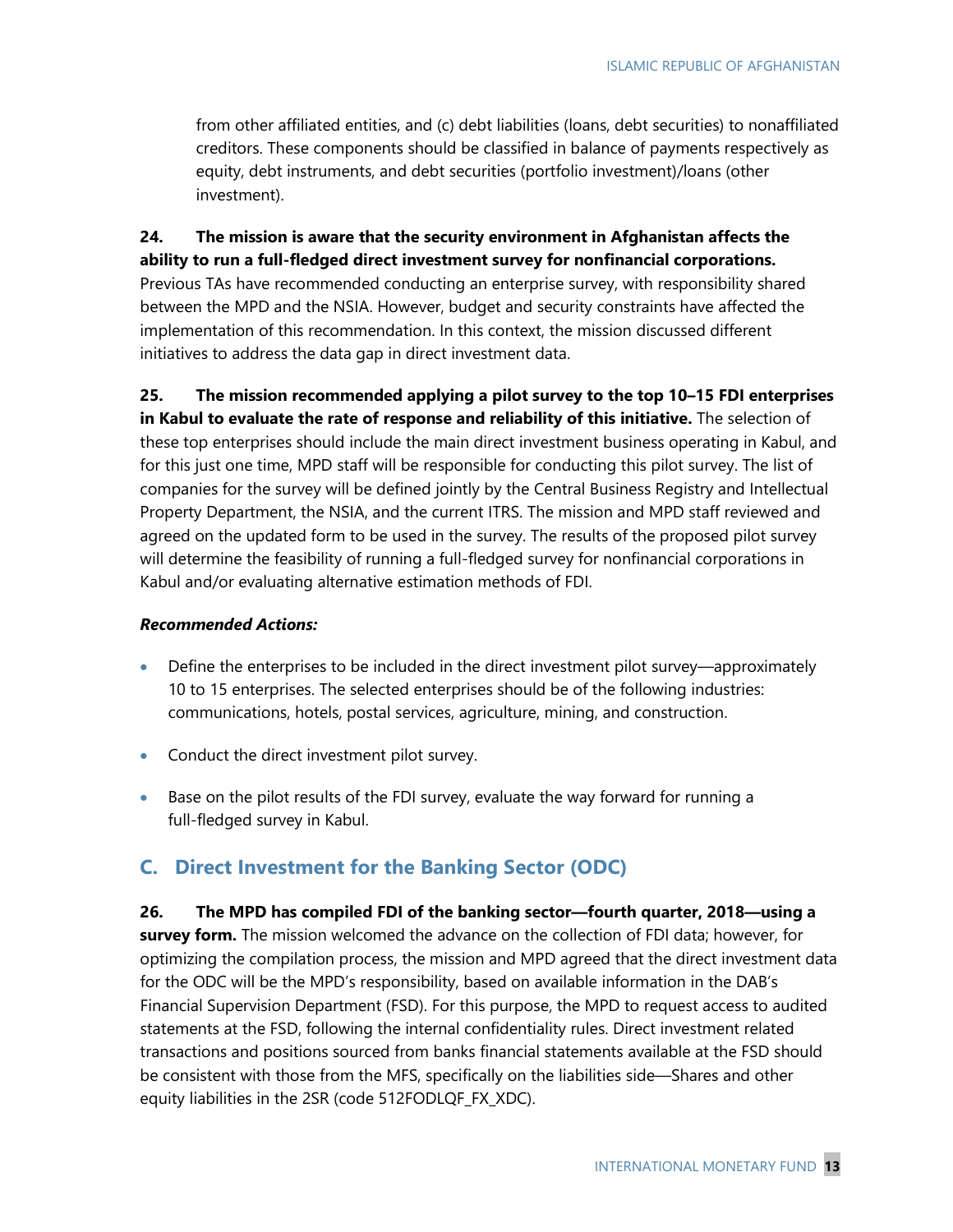from other affiliated entities, and (c) debt liabilities (loans, debt securities) to nonaffiliated creditors. These components should be classified in balance of payments respectively as equity, debt instruments, and debt securities (portfolio investment)/loans (other investment).

**24. The mission is aware that the security environment in Afghanistan affects the ability to run a full-fledged direct investment survey for nonfinancial corporations.** Previous TAs have recommended conducting an enterprise survey, with responsibility shared between the MPD and the NSIA. However, budget and security constraints have affected the implementation of this recommendation. In this context, the mission discussed different initiatives to address the data gap in direct investment data.

**25. The mission recommended applying a pilot survey to the top 10–15 FDI enterprises in Kabul to evaluate the rate of response and reliability of this initiative.** The selection of these top enterprises should include the main direct investment business operating in Kabul, and for this just one time, MPD staff will be responsible for conducting this pilot survey. The list of companies for the survey will be defined jointly by the Central Business Registry and Intellectual Property Department, the NSIA, and the current ITRS. The mission and MPD staff reviewed and agreed on the updated form to be used in the survey. The results of the proposed pilot survey will determine the feasibility of running a full-fledged survey for nonfinancial corporations in Kabul and/or evaluating alternative estimation methods of FDI.

#### *Recommended Actions:*

- Define the enterprises to be included in the direct investment pilot survey—approximately 10 to 15 enterprises. The selected enterprises should be of the following industries: communications, hotels, postal services, agriculture, mining, and construction.
- Conduct the direct investment pilot survey.
- Base on the pilot results of the FDI survey, evaluate the way forward for running a full-fledged survey in Kabul.

## **C. Direct Investment for the Banking Sector (ODC)**

**26. The MPD has compiled FDI of the banking sector—fourth quarter, 2018—using a survey form.** The mission welcomed the advance on the collection of FDI data; however, for optimizing the compilation process, the mission and MPD agreed that the direct investment data for the ODC will be the MPD's responsibility, based on available information in the DAB's Financial Supervision Department (FSD). For this purpose, the MPD to request access to audited statements at the FSD, following the internal confidentiality rules. Direct investment related transactions and positions sourced from banks financial statements available at the FSD should be consistent with those from the MFS, specifically on the liabilities side—Shares and other equity liabilities in the 2SR (code 512FODLQF\_FX\_XDC).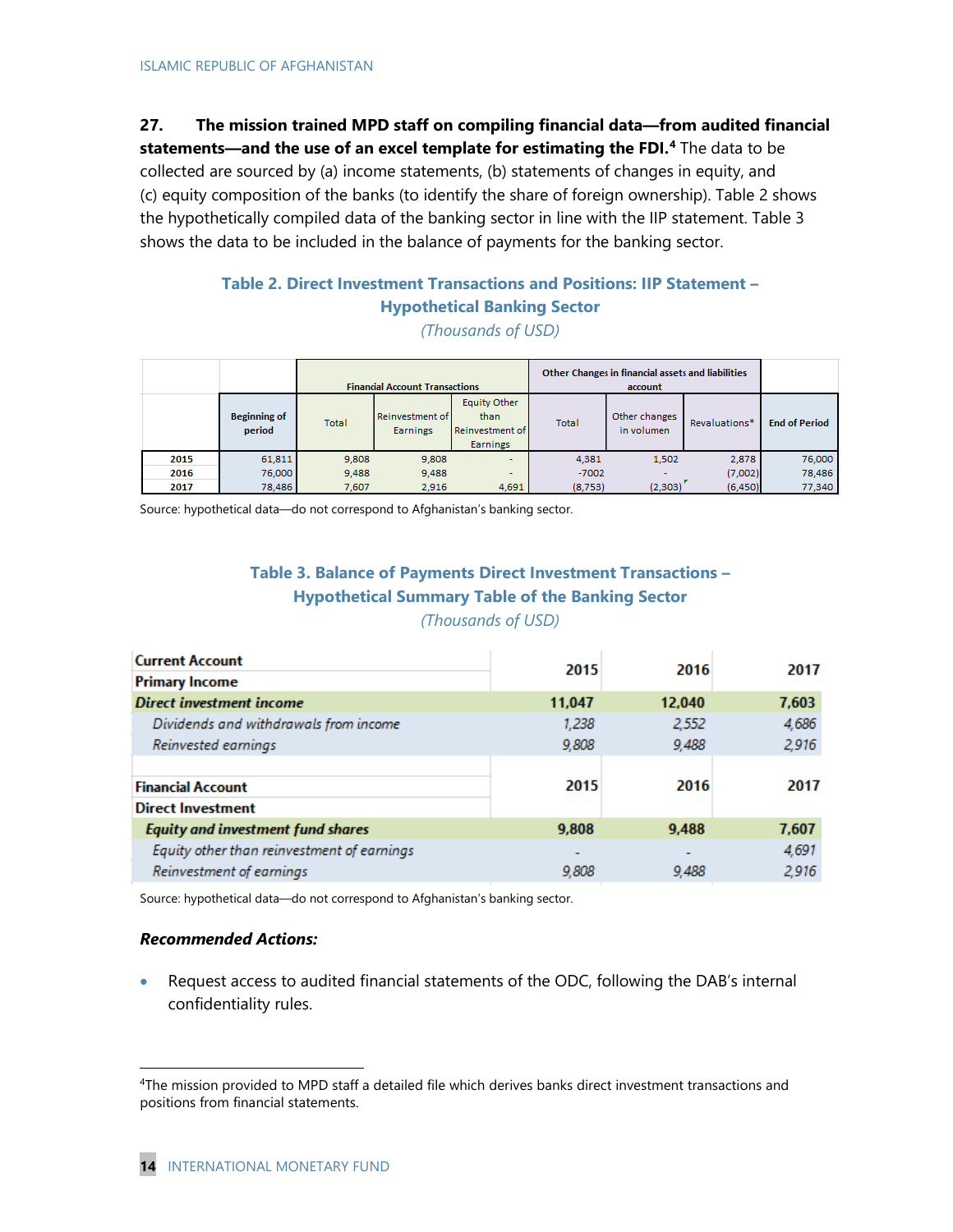## **27. The mission trained MPD staff on compiling financial data—from audited financial**

**statements—and the use of an excel template for estimating the FDI. [4](#page-14-0)** The data to be collected are sourced by (a) income statements, (b) statements of changes in equity, and (c) equity composition of the banks (to identify the share of foreign ownership). Table 2 shows the hypothetically compiled data of the banking sector in line with the IIP statement. Table 3 shows the data to be included in the balance of payments for the banking sector.

## **Table 2. Direct Investment Transactions and Positions: IIP Statement – Hypothetical Banking Sector**

*(Thousands of USD)*

|      |                               | <b>Financial Account Transactions</b> |                                    |                                                            | Other Changes in financial assets and liabilities<br>account |                             |               |                      |
|------|-------------------------------|---------------------------------------|------------------------------------|------------------------------------------------------------|--------------------------------------------------------------|-----------------------------|---------------|----------------------|
|      | <b>Beginning of</b><br>period | <b>Total</b>                          | Reinvestment of<br><b>Earnings</b> | Equity Other<br>than<br>Reinvestment of<br><b>Earnings</b> | Total                                                        | Other changes<br>in volumen | Revaluations* | <b>End of Period</b> |
| 2015 | 61,811                        | 9.808                                 | 9,808                              | $\overline{\phantom{a}}$                                   | 4.381                                                        | 1.502                       | 2.878         | 76,000               |
| 2016 | 76,000                        | 9.488                                 | 9,488                              | $\overline{\phantom{a}}$                                   | $-7002$                                                      |                             | (7,002)       | 78,486               |
| 2017 | 78,486                        | 7,607                                 | 2,916                              | 4,691                                                      | (8,753)                                                      | (2,303)                     | (6,450)       | 77,340               |

Source: hypothetical data—do not correspond to Afghanistan's banking sector.

## **Table 3. Balance of Payments Direct Investment Transactions – Hypothetical Summary Table of the Banking Sector**

*(Thousands of USD)*

|                          |        | 2017  |
|--------------------------|--------|-------|
|                          |        |       |
| 11,047                   | 12,040 | 7,603 |
| 1,238                    | 2,552  | 4,686 |
| 9.808                    | 9,488  | 2,916 |
|                          |        |       |
| 2015                     | 2016   | 2017  |
|                          |        |       |
| 9,808                    | 9,488  | 7,607 |
| $\overline{\phantom{a}}$ |        | 4,691 |
| 9,808                    | 9,488  | 2,916 |
|                          | 2015   | 2016  |

Source: hypothetical data—do not correspond to Afghanistan's banking sector.

#### *Recommended Actions:*

l

• Request access to audited financial statements of the ODC, following the DAB's internal confidentiality rules.

<span id="page-14-0"></span><sup>4</sup>The mission provided to MPD staff a detailed file which derives banks direct investment transactions and positions from financial statements.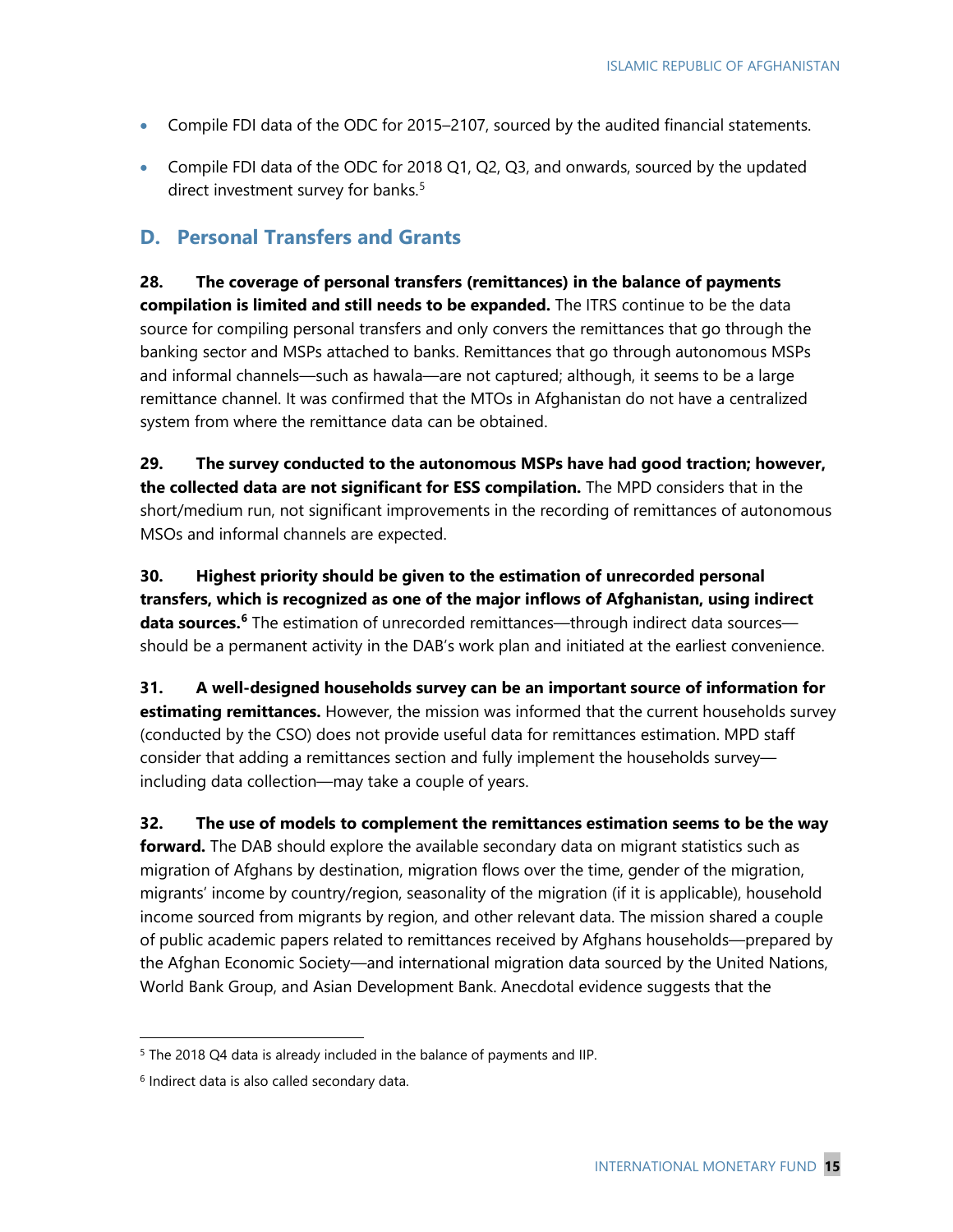- Compile FDI data of the ODC for 2015–2107, sourced by the audited financial statements.
- Compile FDI data of the ODC for 2018 Q1, Q2, Q3, and onwards, sourced by the updated direct investment survey for banks.<sup>[5](#page-15-0)</sup>

### **D. Personal Transfers and Grants**

**28. The coverage of personal transfers (remittances) in the balance of payments compilation is limited and still needs to be expanded.** The ITRS continue to be the data source for compiling personal transfers and only convers the remittances that go through the banking sector and MSPs attached to banks. Remittances that go through autonomous MSPs and informal channels—such as hawala—are not captured; although, it seems to be a large remittance channel. It was confirmed that the MTOs in Afghanistan do not have a centralized system from where the remittance data can be obtained.

**29. The survey conducted to the autonomous MSPs have had good traction; however, the collected data are not significant for ESS compilation.** The MPD considers that in the short/medium run, not significant improvements in the recording of remittances of autonomous MSOs and informal channels are expected.

**30. Highest priority should be given to the estimation of unrecorded personal transfers, which is recognized as one of the major inflows of Afghanistan, using indirect data sources.[6](#page-15-1)** The estimation of unrecorded remittances—through indirect data sources should be a permanent activity in the DAB's work plan and initiated at the earliest convenience.

**31. A well-designed households survey can be an important source of information for estimating remittances.** However, the mission was informed that the current households survey (conducted by the CSO) does not provide useful data for remittances estimation. MPD staff consider that adding a remittances section and fully implement the households survey including data collection—may take a couple of years.

**32. The use of models to complement the remittances estimation seems to be the way forward.** The DAB should explore the available secondary data on migrant statistics such as migration of Afghans by destination, migration flows over the time, gender of the migration, migrants' income by country/region, seasonality of the migration (if it is applicable), household income sourced from migrants by region, and other relevant data. The mission shared a couple of public academic papers related to remittances received by Afghans households—prepared by the Afghan Economic Society—and international migration data sourced by the United Nations, World Bank Group, and Asian Development Bank. Anecdotal evidence suggests that the

 $\overline{\phantom{a}}$ 

<span id="page-15-0"></span><sup>&</sup>lt;sup>5</sup> The 2018 Q4 data is already included in the balance of payments and IIP.

<span id="page-15-1"></span><sup>6</sup> Indirect data is also called secondary data.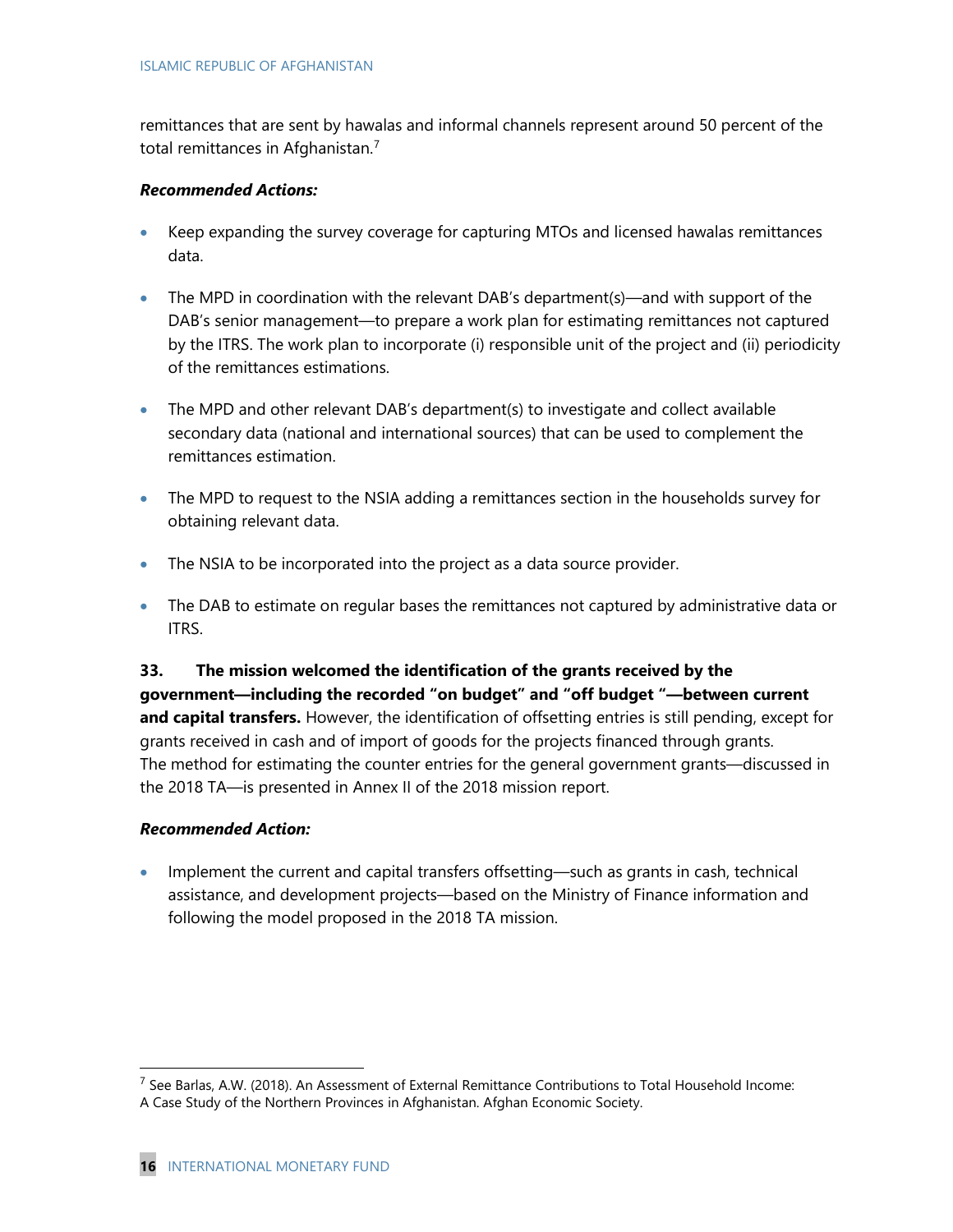remittances that are sent by hawalas and informal channels represent around 50 percent of the total remittances in Afghanistan.<sup>[7](#page-16-0)</sup>

#### *Recommended Actions:*

- Keep expanding the survey coverage for capturing MTOs and licensed hawalas remittances data.
- The MPD in coordination with the relevant DAB's department(s)—and with support of the DAB's senior management—to prepare a work plan for estimating remittances not captured by the ITRS. The work plan to incorporate (i) responsible unit of the project and (ii) periodicity of the remittances estimations.
- The MPD and other relevant DAB's department(s) to investigate and collect available secondary data (national and international sources) that can be used to complement the remittances estimation.
- The MPD to request to the NSIA adding a remittances section in the households survey for obtaining relevant data.
- The NSIA to be incorporated into the project as a data source provider.
- The DAB to estimate on regular bases the remittances not captured by administrative data or ITRS.

**33. The mission welcomed the identification of the grants received by the government—including the recorded "on budget" and "off budget "—between current and capital transfers.** However, the identification of offsetting entries is still pending, except for grants received in cash and of import of goods for the projects financed through grants. The method for estimating the counter entries for the general government grants—discussed in the 2018 TA—is presented in Annex II of the 2018 mission report.

#### *Recommended Action:*

l

• Implement the current and capital transfers offsetting—such as grants in cash, technical assistance, and development projects—based on the Ministry of Finance information and following the model proposed in the 2018 TA mission.

<span id="page-16-0"></span> $<sup>7</sup>$  See Barlas, A.W. (2018). An Assessment of External Remittance Contributions to Total Household Income:</sup> A Case Study of the Northern Provinces in Afghanistan. Afghan Economic Society.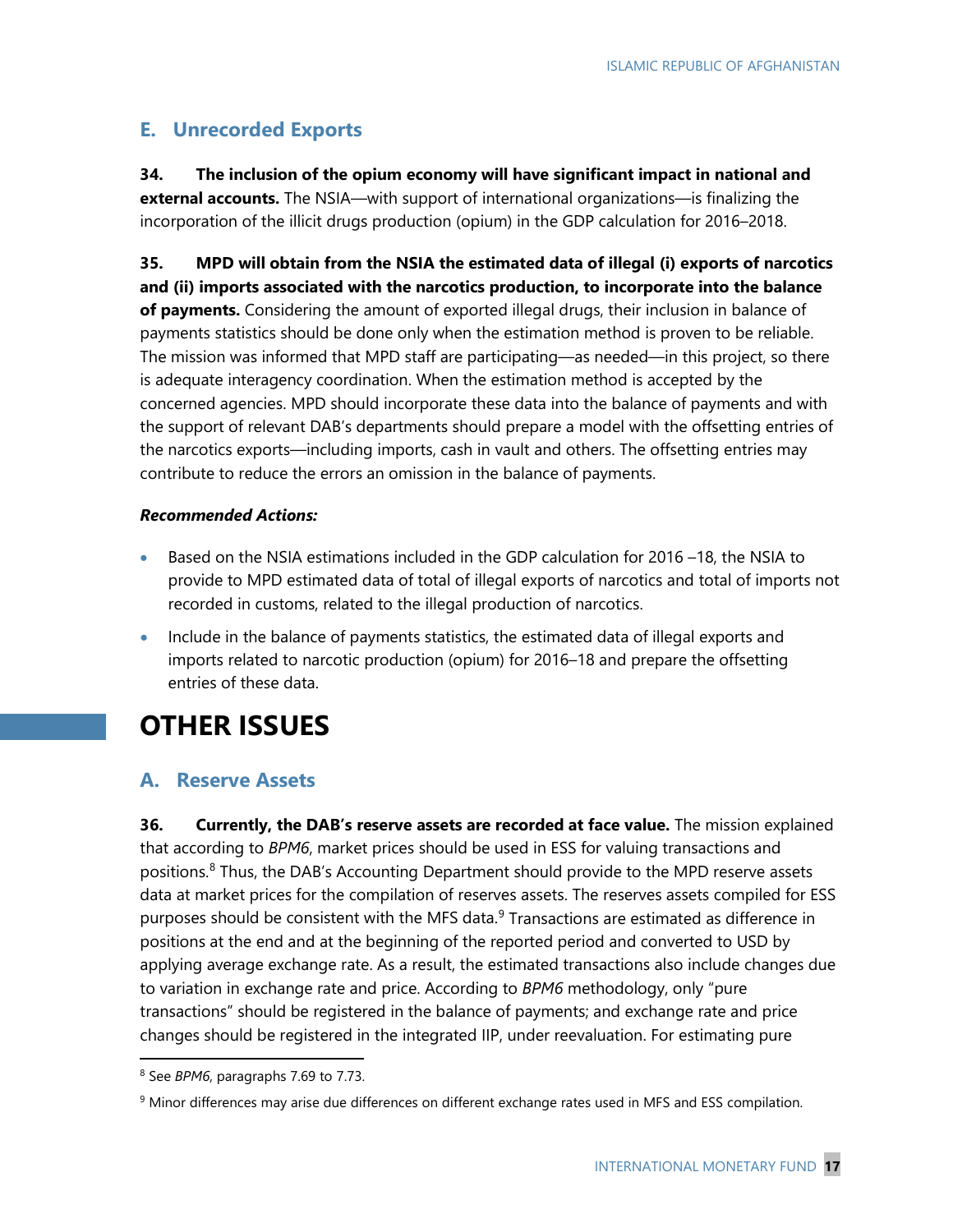## **E. Unrecorded Exports**

**34. The inclusion of the opium economy will have significant impact in national and external accounts.** The NSIA—with support of international organizations—is finalizing the incorporation of the illicit drugs production (opium) in the GDP calculation for 2016–2018.

**35. MPD will obtain from the NSIA the estimated data of illegal (i) exports of narcotics and (ii) imports associated with the narcotics production, to incorporate into the balance of payments.** Considering the amount of exported illegal drugs, their inclusion in balance of payments statistics should be done only when the estimation method is proven to be reliable. The mission was informed that MPD staff are participating—as needed—in this project, so there is adequate interagency coordination. When the estimation method is accepted by the concerned agencies. MPD should incorporate these data into the balance of payments and with the support of relevant DAB's departments should prepare a model with the offsetting entries of the narcotics exports—including imports, cash in vault and others. The offsetting entries may contribute to reduce the errors an omission in the balance of payments.

#### *Recommended Actions:*

- Based on the NSIA estimations included in the GDP calculation for 2016 –18, the NSIA to provide to MPD estimated data of total of illegal exports of narcotics and total of imports not recorded in customs, related to the illegal production of narcotics.
- Include in the balance of payments statistics, the estimated data of illegal exports and imports related to narcotic production (opium) for 2016–18 and prepare the offsetting entries of these data.

## **OTHER ISSUES**

### **A. Reserve Assets**

**36. Currently, the DAB's reserve assets are recorded at face value.** The mission explained that according to *BPM6*, market prices should be used in ESS for valuing transactions and positions.<sup>[8](#page-17-0)</sup> Thus, the DAB's Accounting Department should provide to the MPD reserve assets data at market prices for the compilation of reserves assets. The reserves assets compiled for ESS purposes should be consistent with the MFS data.<sup>[9](#page-17-1)</sup> Transactions are estimated as difference in positions at the end and at the beginning of the reported period and converted to USD by applying average exchange rate. As a result, the estimated transactions also include changes due to variation in exchange rate and price. According to *BPM6* methodology, only "pure transactions" should be registered in the balance of payments; and exchange rate and price changes should be registered in the integrated IIP, under reevaluation. For estimating pure

l

<span id="page-17-0"></span><sup>8</sup> See *BPM6*, paragraphs 7.69 to 7.73.

<span id="page-17-1"></span><sup>&</sup>lt;sup>9</sup> Minor differences may arise due differences on different exchange rates used in MFS and ESS compilation.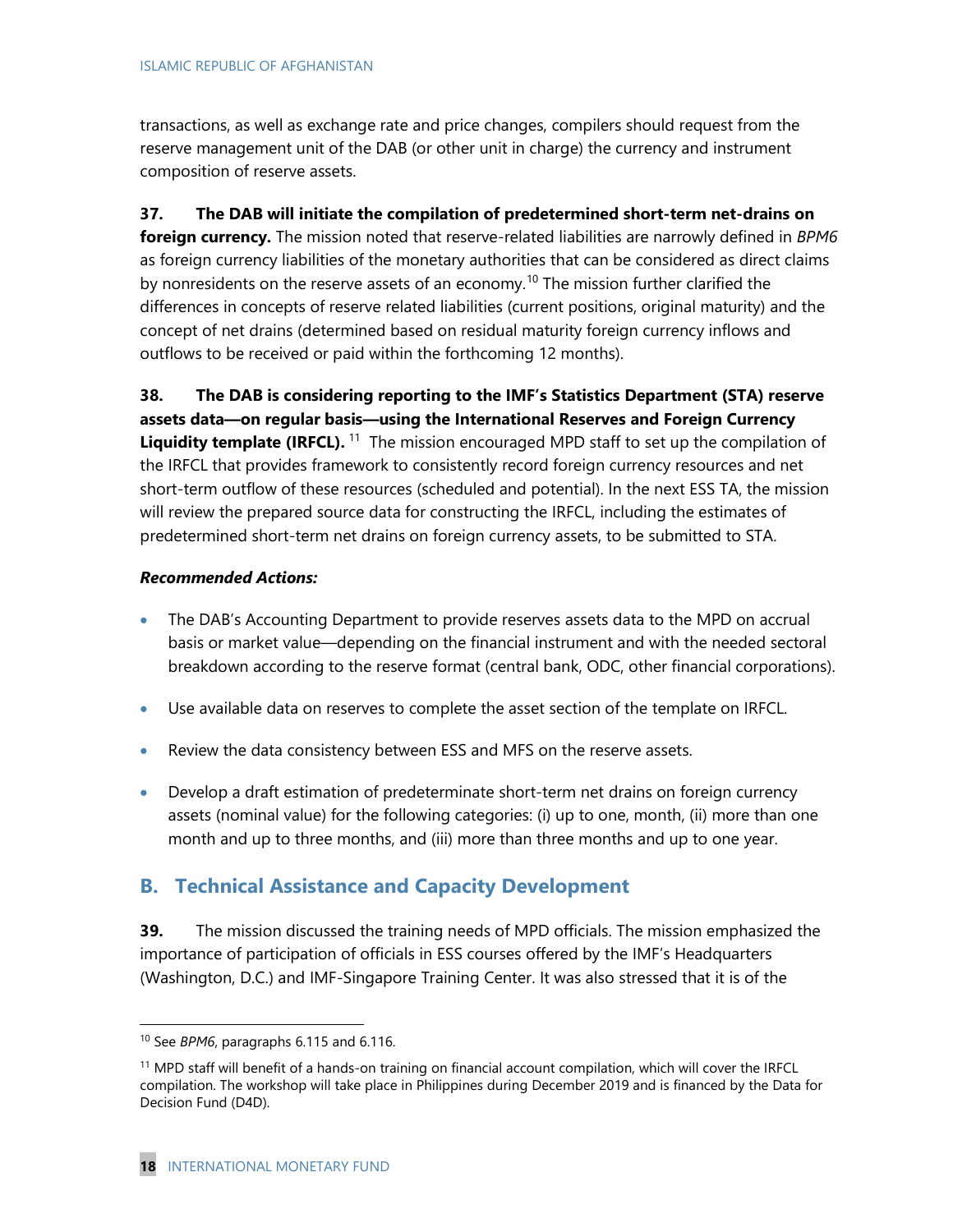transactions, as well as exchange rate and price changes, compilers should request from the reserve management unit of the DAB (or other unit in charge) the currency and instrument composition of reserve assets.

**37. The DAB will initiate the compilation of predetermined short-term net-drains on foreign currency.** The mission noted that reserve-related liabilities are narrowly defined in *BPM6*  as foreign currency liabilities of the monetary authorities that can be considered as direct claims by nonresidents on the reserve assets of an economy.<sup>[10](#page-18-0)</sup> The mission further clarified the differences in concepts of reserve related liabilities (current positions, original maturity) and the concept of net drains (determined based on residual maturity foreign currency inflows and outflows to be received or paid within the forthcoming 12 months).

**38. The DAB is considering reporting to the IMF's Statistics Department (STA) reserve assets data—on regular basis—using the International Reserves and Foreign Currency Liquidity template (IRFCL).**<sup>[11](#page-18-1)</sup> The mission encouraged MPD staff to set up the compilation of the IRFCL that provides framework to consistently record foreign currency resources and net short-term outflow of these resources (scheduled and potential). In the next ESS TA, the mission will review the prepared source data for constructing the IRFCL, including the estimates of predetermined short-term net drains on foreign currency assets, to be submitted to STA.

### *Recommended Actions:*

- The DAB's Accounting Department to provide reserves assets data to the MPD on accrual basis or market value—depending on the financial instrument and with the needed sectoral breakdown according to the reserve format (central bank, ODC, other financial corporations).
- Use available data on reserves to complete the asset section of the template on IRFCL.
- Review the data consistency between ESS and MFS on the reserve assets.
- Develop a draft estimation of predeterminate short-term net drains on foreign currency assets (nominal value) for the following categories: (i) up to one, month, (ii) more than one month and up to three months, and (iii) more than three months and up to one year.

## **B. Technical Assistance and Capacity Development**

**39.** The mission discussed the training needs of MPD officials. The mission emphasized the importance of participation of officials in ESS courses offered by the IMF's Headquarters (Washington, D.C.) and IMF-Singapore Training Center. It was also stressed that it is of the

l

<span id="page-18-0"></span><sup>10</sup> See *BPM6*, paragraphs 6.115 and 6.116.

<span id="page-18-1"></span><sup>11</sup> MPD staff will benefit of a hands-on training on financial account compilation, which will cover the IRFCL compilation. The workshop will take place in Philippines during December 2019 and is financed by the Data for Decision Fund (D4D).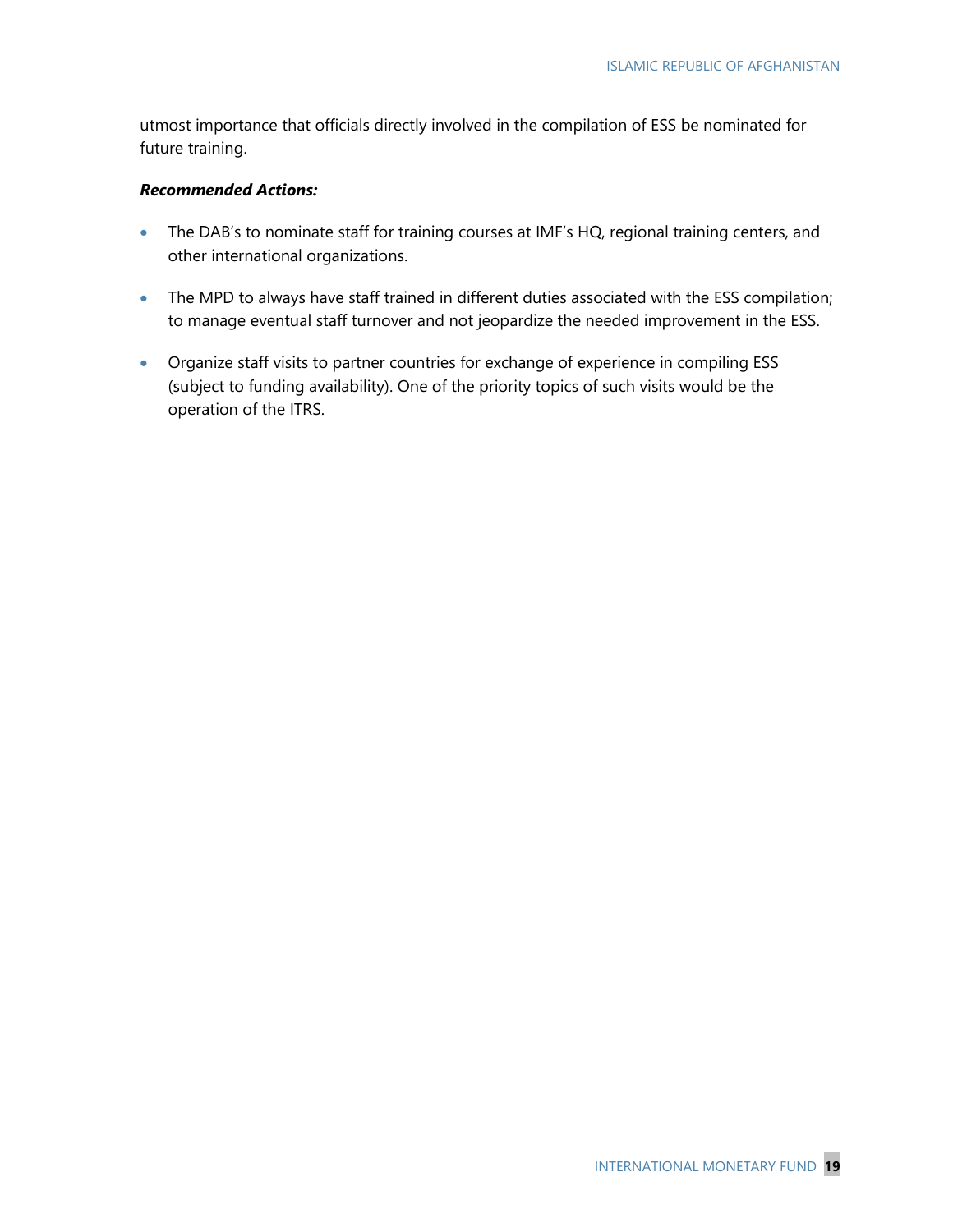utmost importance that officials directly involved in the compilation of ESS be nominated for future training.

#### *Recommended Actions:*

- The DAB's to nominate staff for training courses at IMF's HQ, regional training centers, and other international organizations.
- The MPD to always have staff trained in different duties associated with the ESS compilation; to manage eventual staff turnover and not jeopardize the needed improvement in the ESS.
- Organize staff visits to partner countries for exchange of experience in compiling ESS (subject to funding availability). One of the priority topics of such visits would be the operation of the ITRS.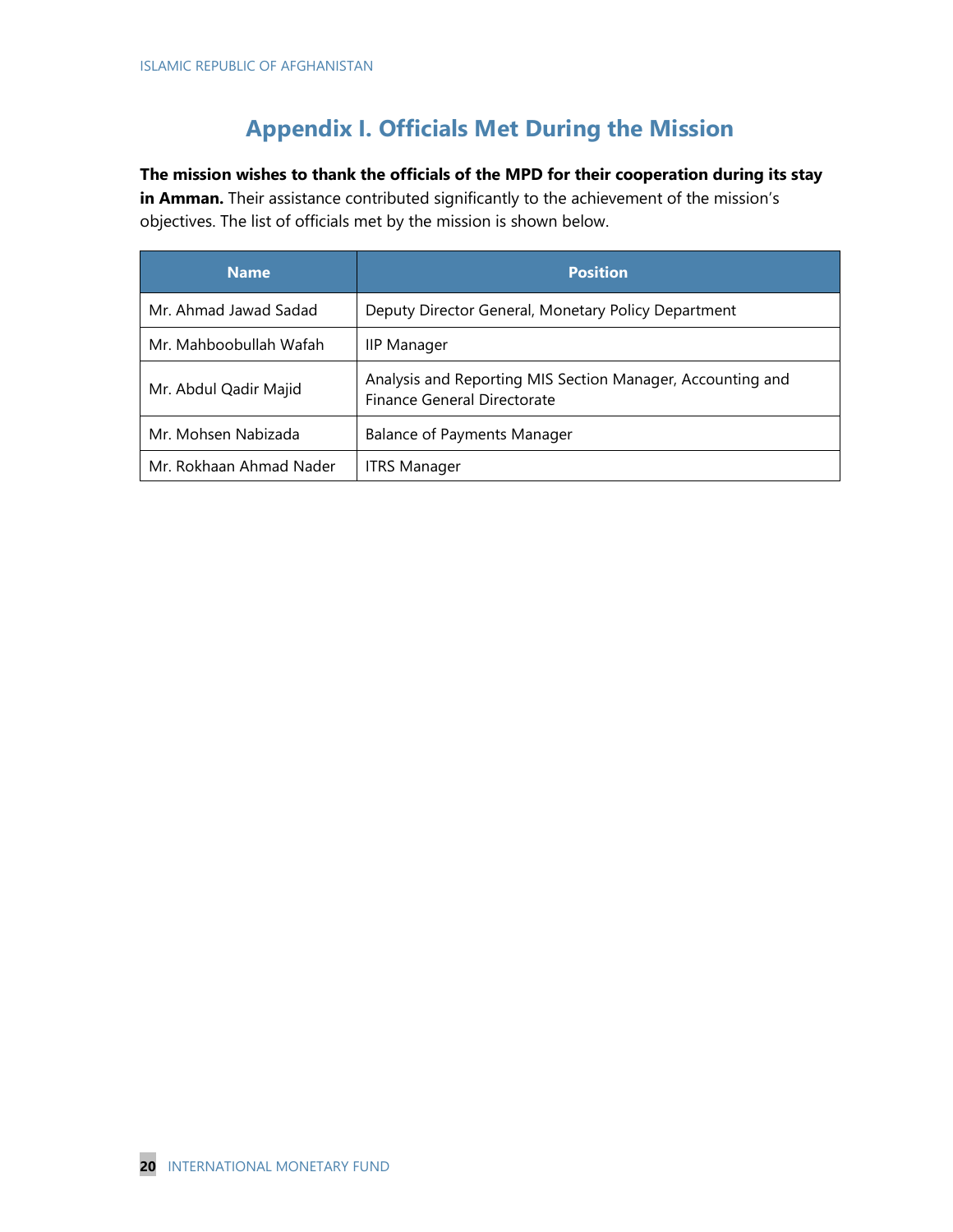## **Appendix I. Officials Met During the Mission**

**The mission wishes to thank the officials of the MPD for their cooperation during its stay in Amman.** Their assistance contributed significantly to the achievement of the mission's objectives. The list of officials met by the mission is shown below.

| <b>Name</b>             | <b>Position</b>                                                                           |
|-------------------------|-------------------------------------------------------------------------------------------|
| Mr. Ahmad Jawad Sadad   | Deputy Director General, Monetary Policy Department                                       |
| Mr. Mahboobullah Wafah  | <b>IIP Manager</b>                                                                        |
| Mr. Abdul Qadir Majid   | Analysis and Reporting MIS Section Manager, Accounting and<br>Finance General Directorate |
| Mr. Mohsen Nabizada     | <b>Balance of Payments Manager</b>                                                        |
| Mr. Rokhaan Ahmad Nader | <b>ITRS Manager</b>                                                                       |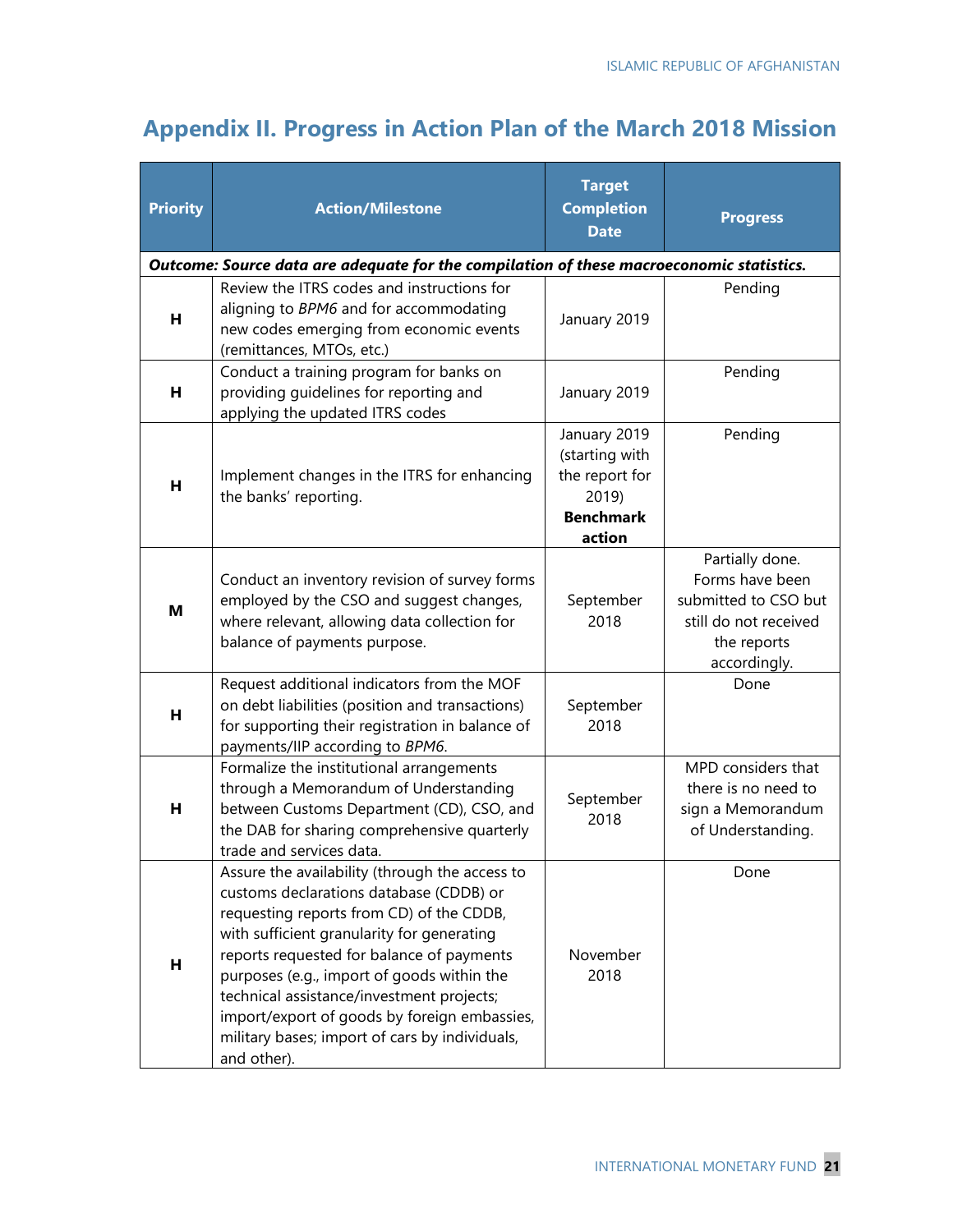## **Appendix II. Progress in Action Plan of the March 2018 Mission**

| <b>Priority</b>                                                                          | <b>Action/Milestone</b>                                                                                                                                                                                                                                                                                                                                                                                                                      | <b>Target</b><br><b>Completion</b><br><b>Date</b>                                       | <b>Progress</b>                                                                                                    |  |  |  |  |
|------------------------------------------------------------------------------------------|----------------------------------------------------------------------------------------------------------------------------------------------------------------------------------------------------------------------------------------------------------------------------------------------------------------------------------------------------------------------------------------------------------------------------------------------|-----------------------------------------------------------------------------------------|--------------------------------------------------------------------------------------------------------------------|--|--|--|--|
| Outcome: Source data are adequate for the compilation of these macroeconomic statistics. |                                                                                                                                                                                                                                                                                                                                                                                                                                              |                                                                                         |                                                                                                                    |  |  |  |  |
| н                                                                                        | Review the ITRS codes and instructions for<br>aligning to BPM6 and for accommodating<br>new codes emerging from economic events<br>(remittances, MTOs, etc.)                                                                                                                                                                                                                                                                                 | January 2019                                                                            | Pending                                                                                                            |  |  |  |  |
| н                                                                                        | Conduct a training program for banks on<br>providing guidelines for reporting and<br>applying the updated ITRS codes                                                                                                                                                                                                                                                                                                                         | January 2019                                                                            | Pending                                                                                                            |  |  |  |  |
| н                                                                                        | Implement changes in the ITRS for enhancing<br>the banks' reporting.                                                                                                                                                                                                                                                                                                                                                                         | January 2019<br>(starting with<br>the report for<br>2019)<br><b>Benchmark</b><br>action | Pending                                                                                                            |  |  |  |  |
| M                                                                                        | Conduct an inventory revision of survey forms<br>employed by the CSO and suggest changes,<br>where relevant, allowing data collection for<br>balance of payments purpose.                                                                                                                                                                                                                                                                    | September<br>2018                                                                       | Partially done.<br>Forms have been<br>submitted to CSO but<br>still do not received<br>the reports<br>accordingly. |  |  |  |  |
| н                                                                                        | Request additional indicators from the MOF<br>on debt liabilities (position and transactions)<br>for supporting their registration in balance of<br>payments/IIP according to BPM6.                                                                                                                                                                                                                                                          | September<br>2018                                                                       | Done                                                                                                               |  |  |  |  |
| н                                                                                        | Formalize the institutional arrangements<br>through a Memorandum of Understanding<br>between Customs Department (CD), CSO, and<br>the DAB for sharing comprehensive quarterly<br>trade and services data.                                                                                                                                                                                                                                    | September<br>2018                                                                       | MPD considers that<br>there is no need to<br>sign a Memorandum<br>of Understanding.                                |  |  |  |  |
| н                                                                                        | Assure the availability (through the access to<br>customs declarations database (CDDB) or<br>requesting reports from CD) of the CDDB,<br>with sufficient granularity for generating<br>reports requested for balance of payments<br>purposes (e.g., import of goods within the<br>technical assistance/investment projects;<br>import/export of goods by foreign embassies,<br>military bases; import of cars by individuals,<br>and other). | November<br>2018                                                                        | Done                                                                                                               |  |  |  |  |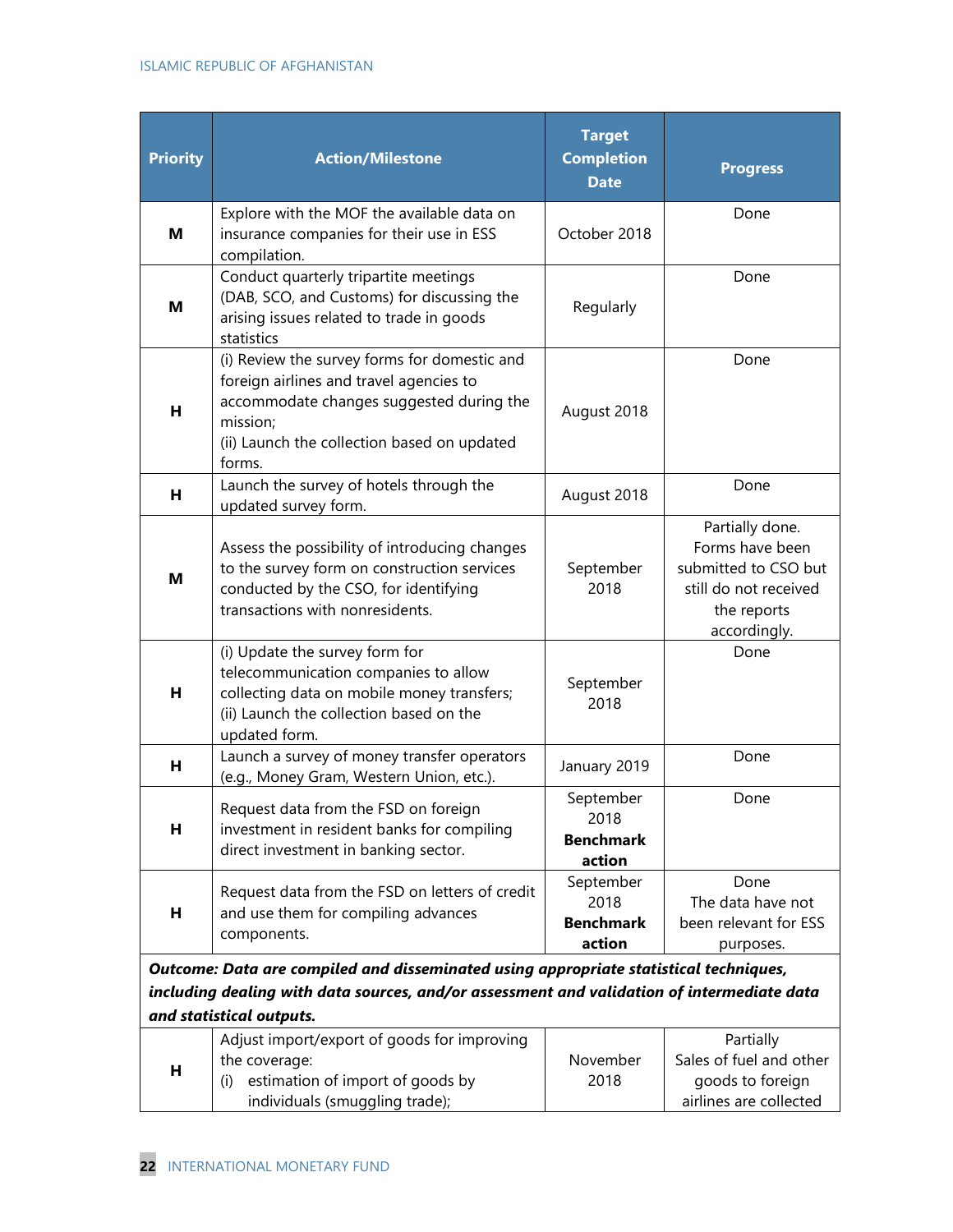#### ISLAMIC REPUBLIC OF AFGHANISTAN

| <b>Priority</b>                                                                                                                                                                                                 | <b>Action/Milestone</b>                                                                                                                                                                                  | <b>Target</b><br><b>Completion</b><br><b>Date</b> | <b>Progress</b>                                                                                                    |  |
|-----------------------------------------------------------------------------------------------------------------------------------------------------------------------------------------------------------------|----------------------------------------------------------------------------------------------------------------------------------------------------------------------------------------------------------|---------------------------------------------------|--------------------------------------------------------------------------------------------------------------------|--|
| M                                                                                                                                                                                                               | Explore with the MOF the available data on<br>insurance companies for their use in ESS<br>compilation.                                                                                                   | October 2018                                      | Done                                                                                                               |  |
| M                                                                                                                                                                                                               | Conduct quarterly tripartite meetings<br>(DAB, SCO, and Customs) for discussing the<br>arising issues related to trade in goods<br>statistics                                                            | Regularly                                         | Done                                                                                                               |  |
| н                                                                                                                                                                                                               | (i) Review the survey forms for domestic and<br>foreign airlines and travel agencies to<br>accommodate changes suggested during the<br>mission;<br>(ii) Launch the collection based on updated<br>forms. | August 2018                                       | Done                                                                                                               |  |
| н                                                                                                                                                                                                               | Launch the survey of hotels through the<br>updated survey form.                                                                                                                                          | August 2018                                       | Done                                                                                                               |  |
| м                                                                                                                                                                                                               | Assess the possibility of introducing changes<br>to the survey form on construction services<br>conducted by the CSO, for identifying<br>transactions with nonresidents.                                 | September<br>2018                                 | Partially done.<br>Forms have been<br>submitted to CSO but<br>still do not received<br>the reports<br>accordingly. |  |
| н                                                                                                                                                                                                               | (i) Update the survey form for<br>telecommunication companies to allow<br>collecting data on mobile money transfers;<br>(ii) Launch the collection based on the<br>updated form.                         | September<br>2018                                 | Done                                                                                                               |  |
| н                                                                                                                                                                                                               | Launch a survey of money transfer operators<br>(e.g., Money Gram, Western Union, etc.).                                                                                                                  | January 2019                                      | Done                                                                                                               |  |
| н                                                                                                                                                                                                               | Request data from the FSD on foreign<br>investment in resident banks for compiling<br>direct investment in banking sector.                                                                               | September<br>2018<br><b>Benchmark</b><br>action   | Done                                                                                                               |  |
| н                                                                                                                                                                                                               | Request data from the FSD on letters of credit<br>and use them for compiling advances<br>components.                                                                                                     | September<br>2018<br><b>Benchmark</b><br>action   | Done<br>The data have not<br>been relevant for ESS<br>purposes.                                                    |  |
| Outcome: Data are compiled and disseminated using appropriate statistical techniques,<br>including dealing with data sources, and/or assessment and validation of intermediate data<br>and statistical outputs. |                                                                                                                                                                                                          |                                                   |                                                                                                                    |  |

|   | Adjust import/export of goods for improving |          | Partially               |
|---|---------------------------------------------|----------|-------------------------|
|   | the coverage:                               | November | Sales of fuel and other |
| н | estimation of import of goods by            | 2018     | goods to foreign        |
|   | individuals (smuggling trade);              |          | airlines are collected  |
|   |                                             |          |                         |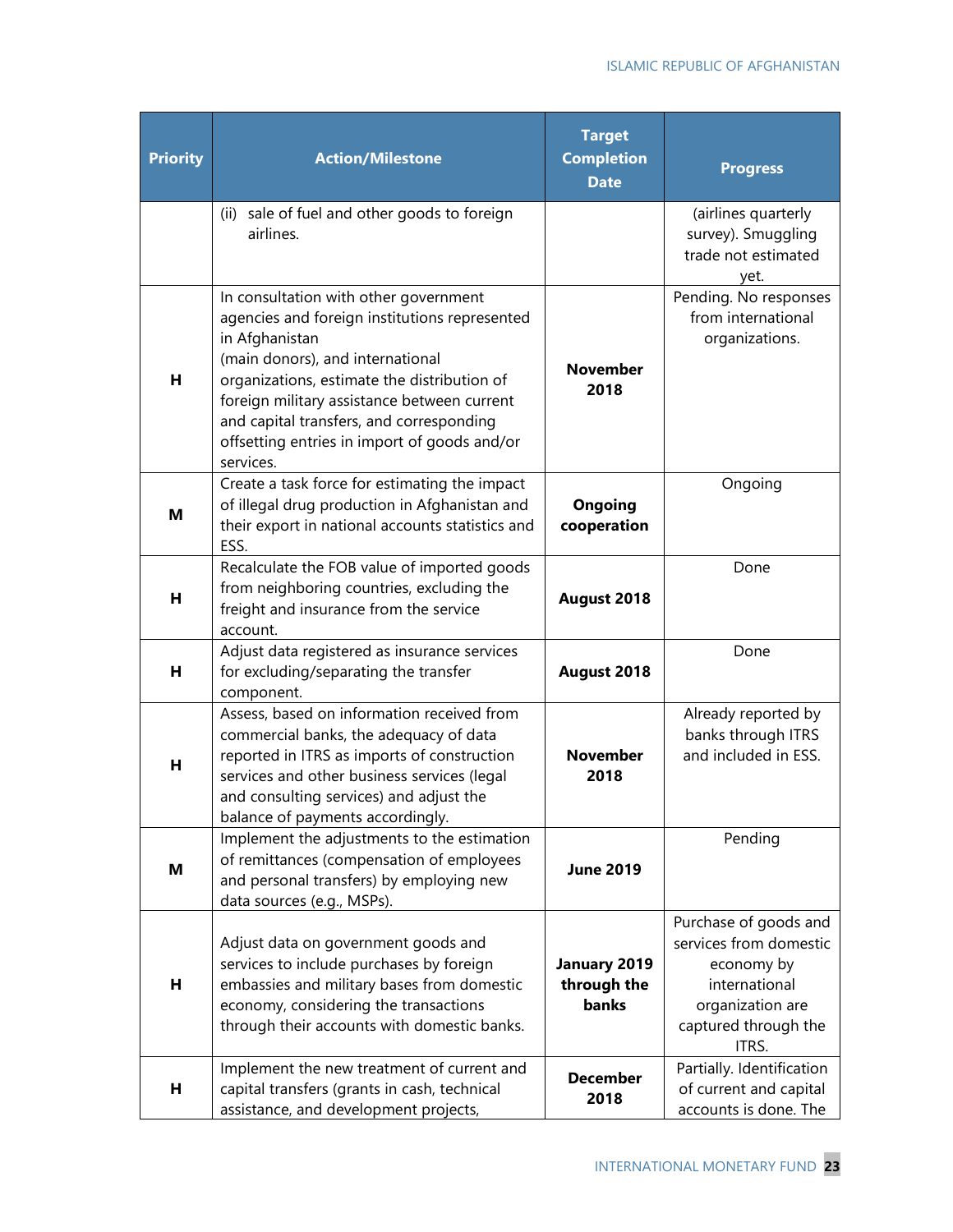| <b>Priority</b> | <b>Action/Milestone</b>                                                                                                                                                                                                                                                                                                                             | <b>Target</b><br><b>Completion</b><br><b>Date</b> | <b>Progress</b>                                                                                                                     |
|-----------------|-----------------------------------------------------------------------------------------------------------------------------------------------------------------------------------------------------------------------------------------------------------------------------------------------------------------------------------------------------|---------------------------------------------------|-------------------------------------------------------------------------------------------------------------------------------------|
|                 | (ii) sale of fuel and other goods to foreign<br>airlines.                                                                                                                                                                                                                                                                                           |                                                   | (airlines quarterly<br>survey). Smuggling<br>trade not estimated<br>yet.                                                            |
| н               | In consultation with other government<br>agencies and foreign institutions represented<br>in Afghanistan<br>(main donors), and international<br>organizations, estimate the distribution of<br>foreign military assistance between current<br>and capital transfers, and corresponding<br>offsetting entries in import of goods and/or<br>services. | <b>November</b><br>2018                           | Pending. No responses<br>from international<br>organizations.                                                                       |
| М               | Create a task force for estimating the impact<br>of illegal drug production in Afghanistan and<br>their export in national accounts statistics and<br>ESS.                                                                                                                                                                                          | <b>Ongoing</b><br>cooperation                     | Ongoing                                                                                                                             |
| н               | Recalculate the FOB value of imported goods<br>from neighboring countries, excluding the<br>freight and insurance from the service<br>account.                                                                                                                                                                                                      | August 2018                                       | Done                                                                                                                                |
| н               | Adjust data registered as insurance services<br>for excluding/separating the transfer<br>component.                                                                                                                                                                                                                                                 | August 2018                                       | Done                                                                                                                                |
| н               | Assess, based on information received from<br>commercial banks, the adequacy of data<br>reported in ITRS as imports of construction<br>services and other business services (legal<br>and consulting services) and adjust the<br>balance of payments accordingly.                                                                                   | <b>November</b><br>2018                           | Already reported by<br>banks through ITRS<br>and included in ESS.                                                                   |
| М               | Implement the adjustments to the estimation<br>of remittances (compensation of employees<br>and personal transfers) by employing new<br>data sources (e.g., MSPs).                                                                                                                                                                                  | <b>June 2019</b>                                  | Pending                                                                                                                             |
| н               | Adjust data on government goods and<br>services to include purchases by foreign<br>embassies and military bases from domestic<br>economy, considering the transactions<br>through their accounts with domestic banks.                                                                                                                               | January 2019<br>through the<br>banks              | Purchase of goods and<br>services from domestic<br>economy by<br>international<br>organization are<br>captured through the<br>ITRS. |
| н               | Implement the new treatment of current and<br>capital transfers (grants in cash, technical<br>assistance, and development projects,                                                                                                                                                                                                                 | <b>December</b><br>2018                           | Partially. Identification<br>of current and capital<br>accounts is done. The                                                        |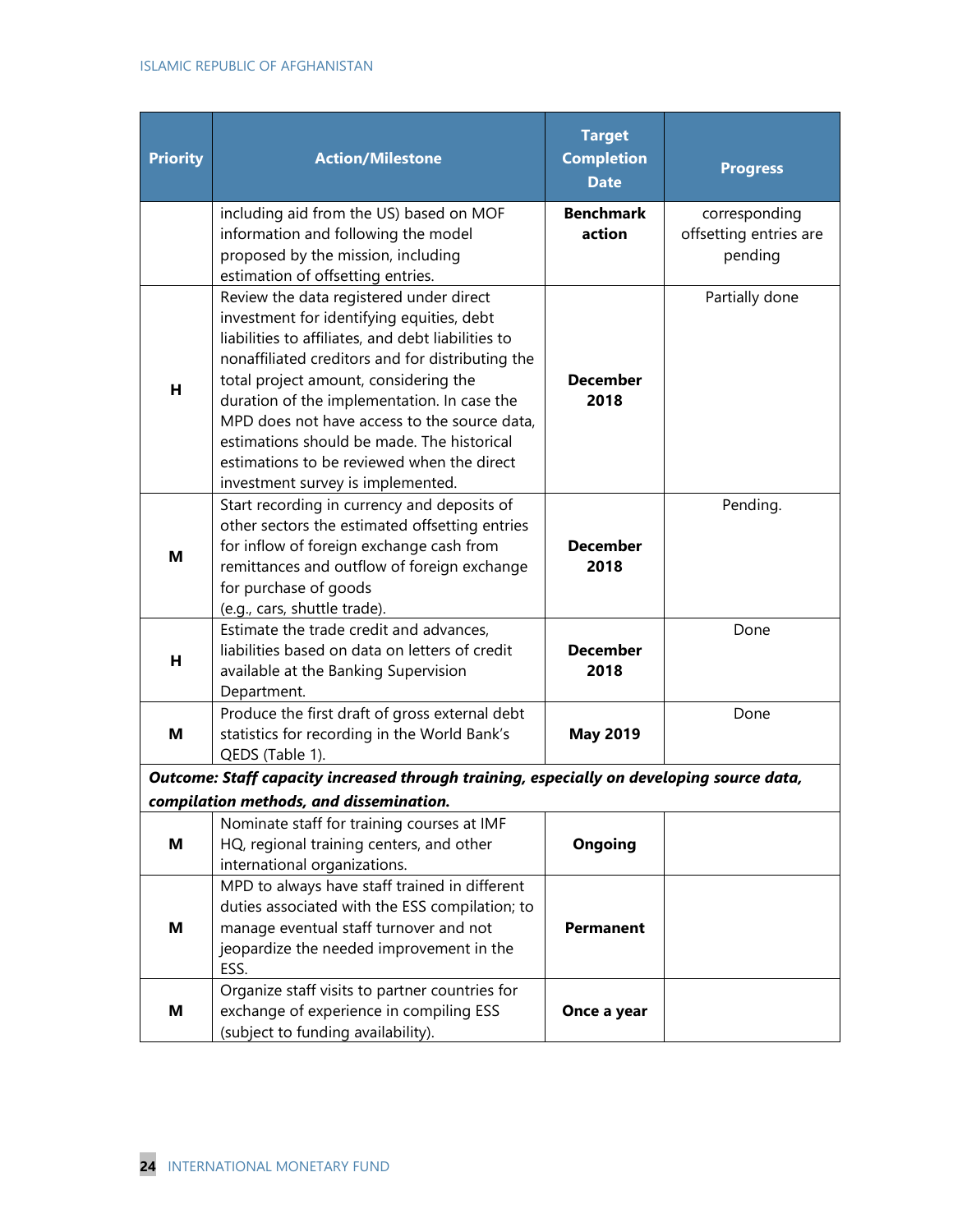| <b>Priority</b> | <b>Action/Milestone</b>                                                                                                                                                                                                                                                                                                                                                                                                                                                 | <b>Target</b><br><b>Completion</b><br><b>Date</b> | <b>Progress</b>                                    |
|-----------------|-------------------------------------------------------------------------------------------------------------------------------------------------------------------------------------------------------------------------------------------------------------------------------------------------------------------------------------------------------------------------------------------------------------------------------------------------------------------------|---------------------------------------------------|----------------------------------------------------|
|                 | including aid from the US) based on MOF<br>information and following the model<br>proposed by the mission, including<br>estimation of offsetting entries.                                                                                                                                                                                                                                                                                                               | <b>Benchmark</b><br>action                        | corresponding<br>offsetting entries are<br>pending |
| н               | Review the data registered under direct<br>investment for identifying equities, debt<br>liabilities to affiliates, and debt liabilities to<br>nonaffiliated creditors and for distributing the<br>total project amount, considering the<br>duration of the implementation. In case the<br>MPD does not have access to the source data,<br>estimations should be made. The historical<br>estimations to be reviewed when the direct<br>investment survey is implemented. | <b>December</b><br>2018                           | Partially done                                     |
| м               | Start recording in currency and deposits of<br>other sectors the estimated offsetting entries<br>for inflow of foreign exchange cash from<br>remittances and outflow of foreign exchange<br>for purchase of goods<br>(e.g., cars, shuttle trade).                                                                                                                                                                                                                       | <b>December</b><br>2018                           | Pending.                                           |
| н               | Estimate the trade credit and advances,<br>liabilities based on data on letters of credit<br>available at the Banking Supervision<br>Department.                                                                                                                                                                                                                                                                                                                        | <b>December</b><br>2018                           | Done                                               |
| M               | Produce the first draft of gross external debt<br>statistics for recording in the World Bank's<br>QEDS (Table 1).                                                                                                                                                                                                                                                                                                                                                       | <b>May 2019</b>                                   | Done                                               |
|                 | Outcome: Staff capacity increased through training, especially on developing source data,                                                                                                                                                                                                                                                                                                                                                                               |                                                   |                                                    |
| Μ               | compilation methods, and dissemination.<br>Nominate staff for training courses at IMF<br>HQ, regional training centers, and other<br>international organizations.                                                                                                                                                                                                                                                                                                       | Ongoing                                           |                                                    |
| Μ               | MPD to always have staff trained in different<br>duties associated with the ESS compilation; to<br>manage eventual staff turnover and not<br>jeopardize the needed improvement in the<br>ESS.                                                                                                                                                                                                                                                                           | <b>Permanent</b>                                  |                                                    |
| Μ               | Organize staff visits to partner countries for<br>exchange of experience in compiling ESS<br>(subject to funding availability).                                                                                                                                                                                                                                                                                                                                         | Once a year                                       |                                                    |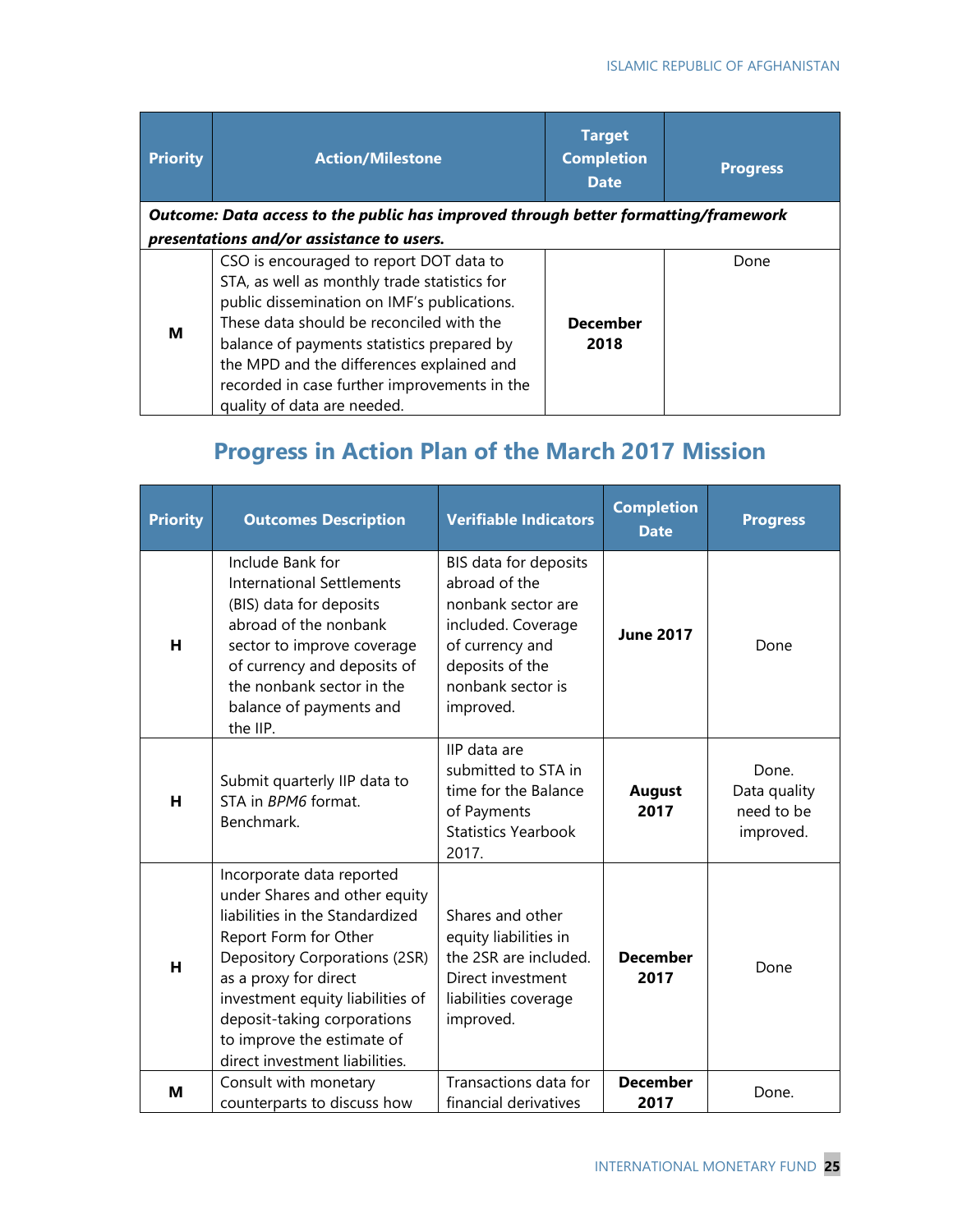| <b>Priority</b> | <b>Action/Milestone</b>                                                                                                                                                                                                                                                                                                                                      | <b>Target</b><br><b>Completion</b><br><b>Date</b> | <b>Progress</b> |
|-----------------|--------------------------------------------------------------------------------------------------------------------------------------------------------------------------------------------------------------------------------------------------------------------------------------------------------------------------------------------------------------|---------------------------------------------------|-----------------|
|                 | Outcome: Data access to the public has improved through better formatting/framework                                                                                                                                                                                                                                                                          |                                                   |                 |
|                 | presentations and/or assistance to users.                                                                                                                                                                                                                                                                                                                    |                                                   |                 |
| м               | CSO is encouraged to report DOT data to<br>STA, as well as monthly trade statistics for<br>public dissemination on IMF's publications.<br>These data should be reconciled with the<br>balance of payments statistics prepared by<br>the MPD and the differences explained and<br>recorded in case further improvements in the<br>quality of data are needed. | <b>December</b><br>2018                           | Done            |

## **Progress in Action Plan of the March 2017 Mission**

| <b>Priority</b> | <b>Outcomes Description</b>                                                                                                                                                                                                                                                                                         | <b>Verifiable Indicators</b>                                                                                                                               | <b>Completion</b><br><b>Date</b> | <b>Progress</b>                                  |
|-----------------|---------------------------------------------------------------------------------------------------------------------------------------------------------------------------------------------------------------------------------------------------------------------------------------------------------------------|------------------------------------------------------------------------------------------------------------------------------------------------------------|----------------------------------|--------------------------------------------------|
| н               | Include Bank for<br><b>International Settlements</b><br>(BIS) data for deposits<br>abroad of the nonbank<br>sector to improve coverage<br>of currency and deposits of<br>the nonbank sector in the<br>balance of payments and<br>the IIP.                                                                           | BIS data for deposits<br>abroad of the<br>nonbank sector are<br>included. Coverage<br>of currency and<br>deposits of the<br>nonbank sector is<br>improved. | <b>June 2017</b>                 | Done                                             |
| н               | Submit quarterly IIP data to<br>STA in BPM6 format.<br>Benchmark.                                                                                                                                                                                                                                                   | IIP data are<br>submitted to STA in<br>time for the Balance<br>of Payments<br><b>Statistics Yearbook</b><br>2017.                                          | <b>August</b><br>2017            | Done.<br>Data quality<br>need to be<br>improved. |
| н               | Incorporate data reported<br>under Shares and other equity<br>liabilities in the Standardized<br>Report Form for Other<br>Depository Corporations (2SR)<br>as a proxy for direct<br>investment equity liabilities of<br>deposit-taking corporations<br>to improve the estimate of<br>direct investment liabilities. | Shares and other<br>equity liabilities in<br>the 2SR are included.<br>Direct investment<br>liabilities coverage<br>improved.                               | <b>December</b><br>2017          | Done                                             |
| м               | Consult with monetary<br>counterparts to discuss how                                                                                                                                                                                                                                                                | Transactions data for<br>financial derivatives                                                                                                             | <b>December</b><br>2017          | Done.                                            |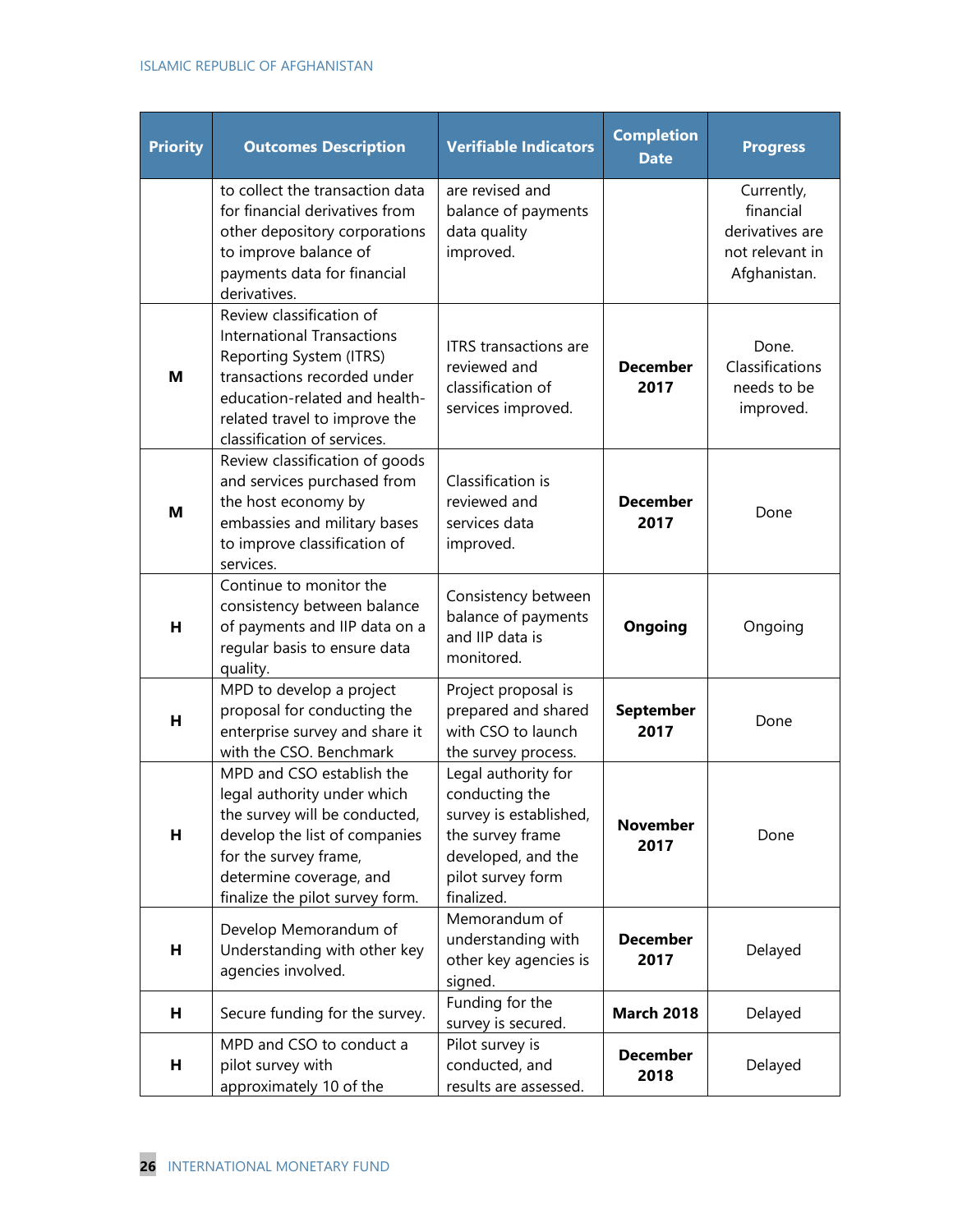#### ISLAMIC REPUBLIC OF AFGHANISTAN

| <b>Priority</b> | <b>Outcomes Description</b>                                                                                                                                                                                              | <b>Verifiable Indicators</b>                                                                                                                 | <b>Completion</b><br><b>Date</b> | <b>Progress</b>                                                               |
|-----------------|--------------------------------------------------------------------------------------------------------------------------------------------------------------------------------------------------------------------------|----------------------------------------------------------------------------------------------------------------------------------------------|----------------------------------|-------------------------------------------------------------------------------|
|                 | to collect the transaction data<br>for financial derivatives from<br>other depository corporations<br>to improve balance of<br>payments data for financial<br>derivatives.                                               | are revised and<br>balance of payments<br>data quality<br>improved.                                                                          |                                  | Currently,<br>financial<br>derivatives are<br>not relevant in<br>Afghanistan. |
| м               | Review classification of<br><b>International Transactions</b><br>Reporting System (ITRS)<br>transactions recorded under<br>education-related and health-<br>related travel to improve the<br>classification of services. | <b>ITRS</b> transactions are<br>reviewed and<br>classification of<br>services improved.                                                      | <b>December</b><br>2017          | Done.<br>Classifications<br>needs to be<br>improved.                          |
| м               | Review classification of goods<br>and services purchased from<br>the host economy by<br>embassies and military bases<br>to improve classification of<br>services.                                                        | Classification is<br>reviewed and<br>services data<br>improved.                                                                              | <b>December</b><br>2017          | Done                                                                          |
| н               | Continue to monitor the<br>consistency between balance<br>of payments and IIP data on a<br>regular basis to ensure data<br>quality.                                                                                      | Consistency between<br>balance of payments<br>and IIP data is<br>monitored.                                                                  | <b>Ongoing</b>                   | Ongoing                                                                       |
| н               | MPD to develop a project<br>proposal for conducting the<br>enterprise survey and share it<br>with the CSO. Benchmark                                                                                                     | Project proposal is<br>prepared and shared<br>with CSO to launch<br>the survey process.                                                      | <b>September</b><br>2017         | Done                                                                          |
| н               | MPD and CSO establish the<br>legal authority under which<br>the survey will be conducted,<br>develop the list of companies<br>for the survey frame,<br>determine coverage, and<br>finalize the pilot survey form.        | Legal authority for<br>conducting the<br>survey is established,<br>the survey frame<br>developed, and the<br>pilot survey form<br>finalized. | <b>November</b><br>2017          | Done                                                                          |
| н               | Develop Memorandum of<br>Understanding with other key<br>agencies involved.                                                                                                                                              | Memorandum of<br>understanding with<br>other key agencies is<br>signed.                                                                      | <b>December</b><br>2017          | Delayed                                                                       |
| н               | Secure funding for the survey.                                                                                                                                                                                           | Funding for the<br>survey is secured.                                                                                                        | <b>March 2018</b>                | Delayed                                                                       |
| н               | MPD and CSO to conduct a<br>pilot survey with<br>approximately 10 of the                                                                                                                                                 | Pilot survey is<br>conducted, and<br>results are assessed.                                                                                   | <b>December</b><br>2018          | Delayed                                                                       |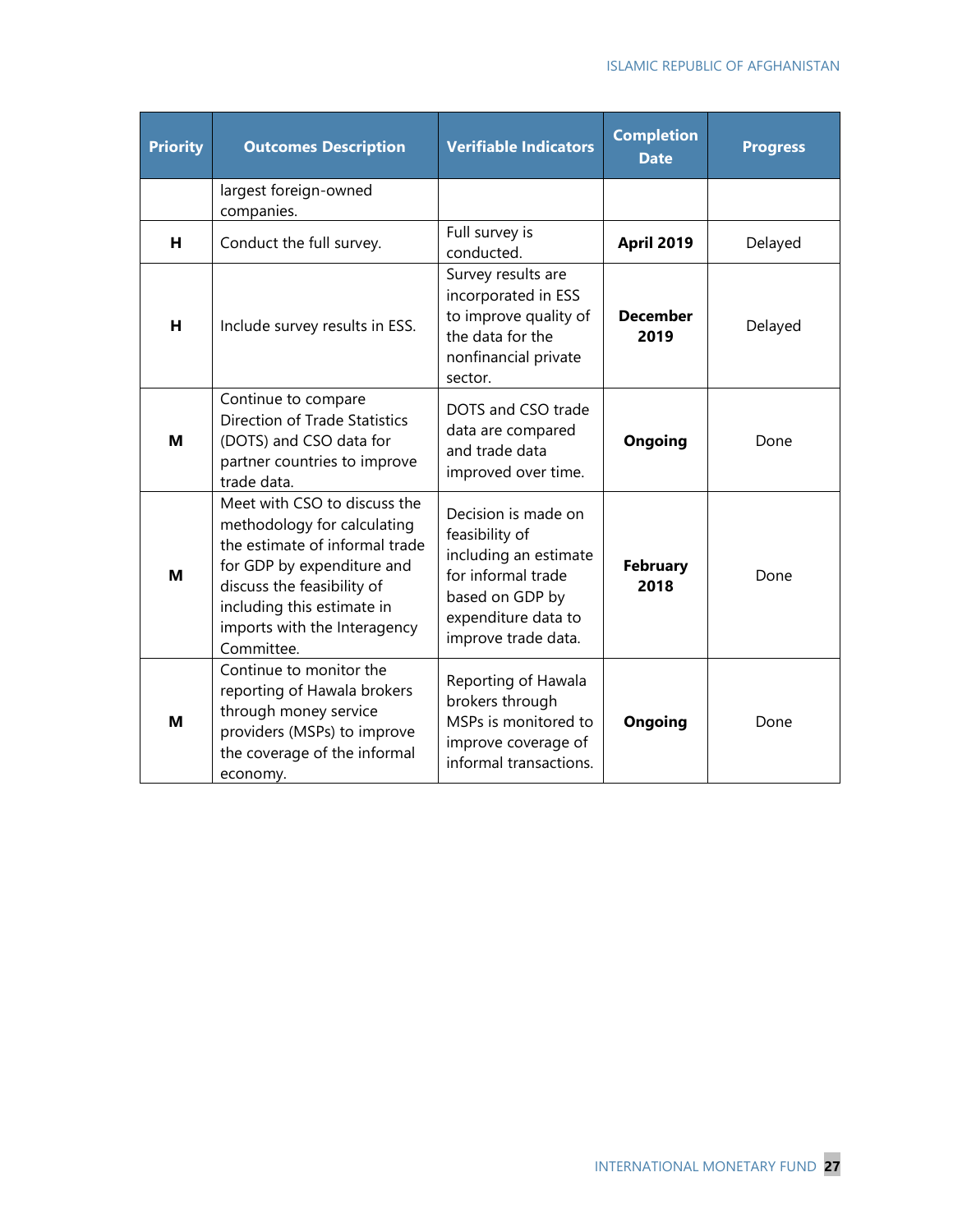| <b>Priority</b> | <b>Outcomes Description</b>                                                                                                                                                                                                           | <b>Verifiable Indicators</b>                                                                                                                          | <b>Completion</b><br><b>Date</b> | <b>Progress</b> |
|-----------------|---------------------------------------------------------------------------------------------------------------------------------------------------------------------------------------------------------------------------------------|-------------------------------------------------------------------------------------------------------------------------------------------------------|----------------------------------|-----------------|
|                 | largest foreign-owned<br>companies.                                                                                                                                                                                                   |                                                                                                                                                       |                                  |                 |
| н               | Conduct the full survey.                                                                                                                                                                                                              | Full survey is<br>conducted.                                                                                                                          | <b>April 2019</b>                | Delayed         |
| н               | Include survey results in ESS.                                                                                                                                                                                                        | Survey results are<br>incorporated in ESS<br>to improve quality of<br>the data for the<br>nonfinancial private<br>sector.                             | <b>December</b><br>2019          | Delayed         |
| M               | Continue to compare<br><b>Direction of Trade Statistics</b><br>(DOTS) and CSO data for<br>partner countries to improve<br>trade data.                                                                                                 | DOTS and CSO trade<br>data are compared<br>and trade data<br>improved over time.                                                                      | Ongoing                          | Done            |
| M               | Meet with CSO to discuss the<br>methodology for calculating<br>the estimate of informal trade<br>for GDP by expenditure and<br>discuss the feasibility of<br>including this estimate in<br>imports with the Interagency<br>Committee. | Decision is made on<br>feasibility of<br>including an estimate<br>for informal trade<br>based on GDP by<br>expenditure data to<br>improve trade data. | <b>February</b><br>2018          | Done            |
| M               | Continue to monitor the<br>reporting of Hawala brokers<br>through money service<br>providers (MSPs) to improve<br>the coverage of the informal<br>economy.                                                                            | Reporting of Hawala<br>brokers through<br>MSPs is monitored to<br>improve coverage of<br>informal transactions.                                       | Ongoing                          | Done            |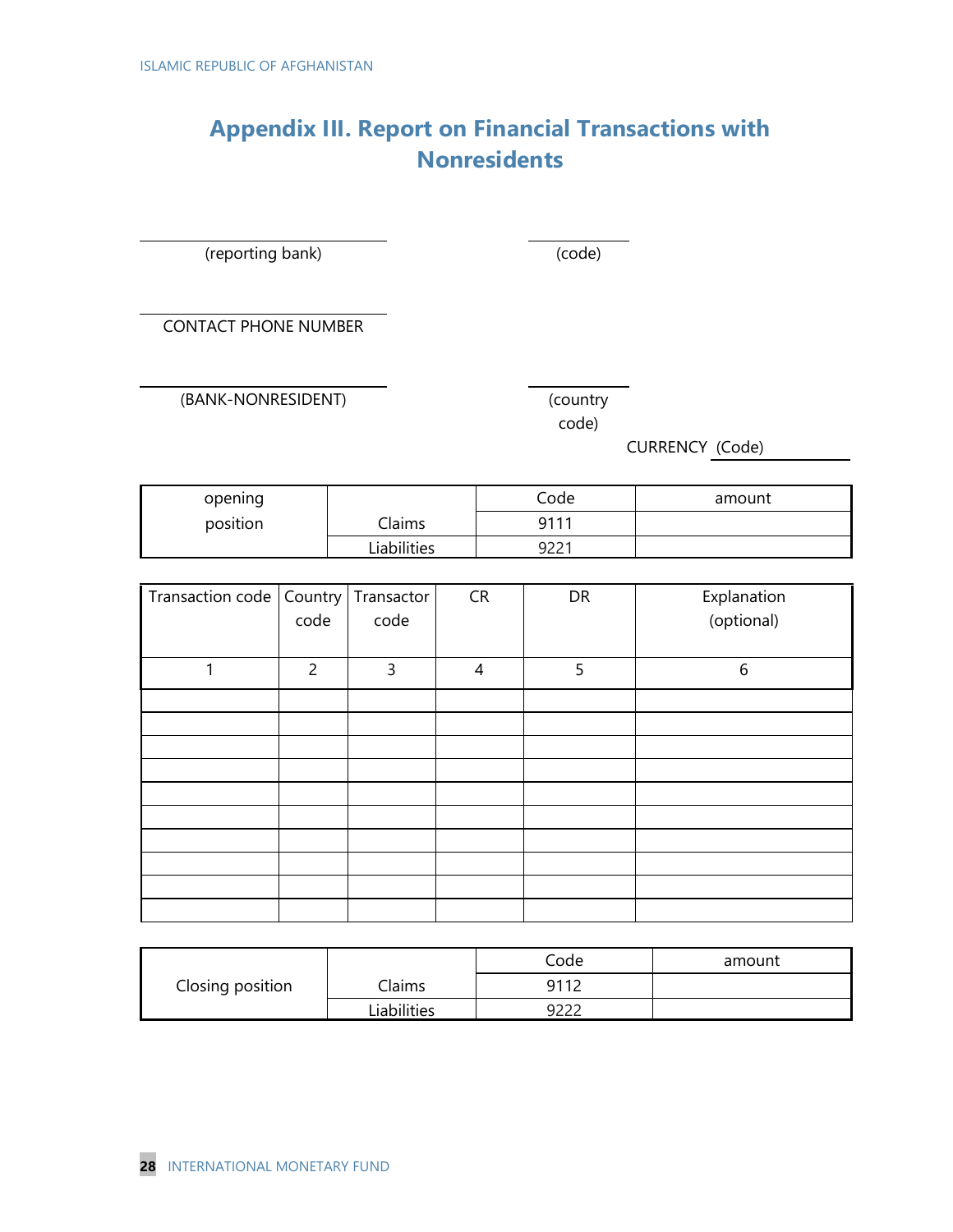## **Appendix III. Report on Financial Transactions with Nonresidents**

(reporting bank) (code)

CONTACT PHONE NUMBER

(BANK-NONRESIDENT) (country

code)

CURRENCY (Code)

| opening  |             | Code | amount |
|----------|-------------|------|--------|
| position | Claims      |      |        |
|          | Liabilities | 9221 |        |

| Transaction code   Country   Transactor | code           | code | <b>CR</b>      | DR | Explanation<br>(optional) |
|-----------------------------------------|----------------|------|----------------|----|---------------------------|
|                                         | $\overline{c}$ | 3    | $\overline{4}$ | 5  | 6                         |
|                                         |                |      |                |    |                           |
|                                         |                |      |                |    |                           |
|                                         |                |      |                |    |                           |
|                                         |                |      |                |    |                           |
|                                         |                |      |                |    |                           |
|                                         |                |      |                |    |                           |
|                                         |                |      |                |    |                           |
|                                         |                |      |                |    |                           |
|                                         |                |      |                |    |                           |
|                                         |                |      |                |    |                           |

|                  |             | Code | amount |
|------------------|-------------|------|--------|
| Closing position | Claims      | 9112 |        |
|                  | Liabilities | ດວວລ |        |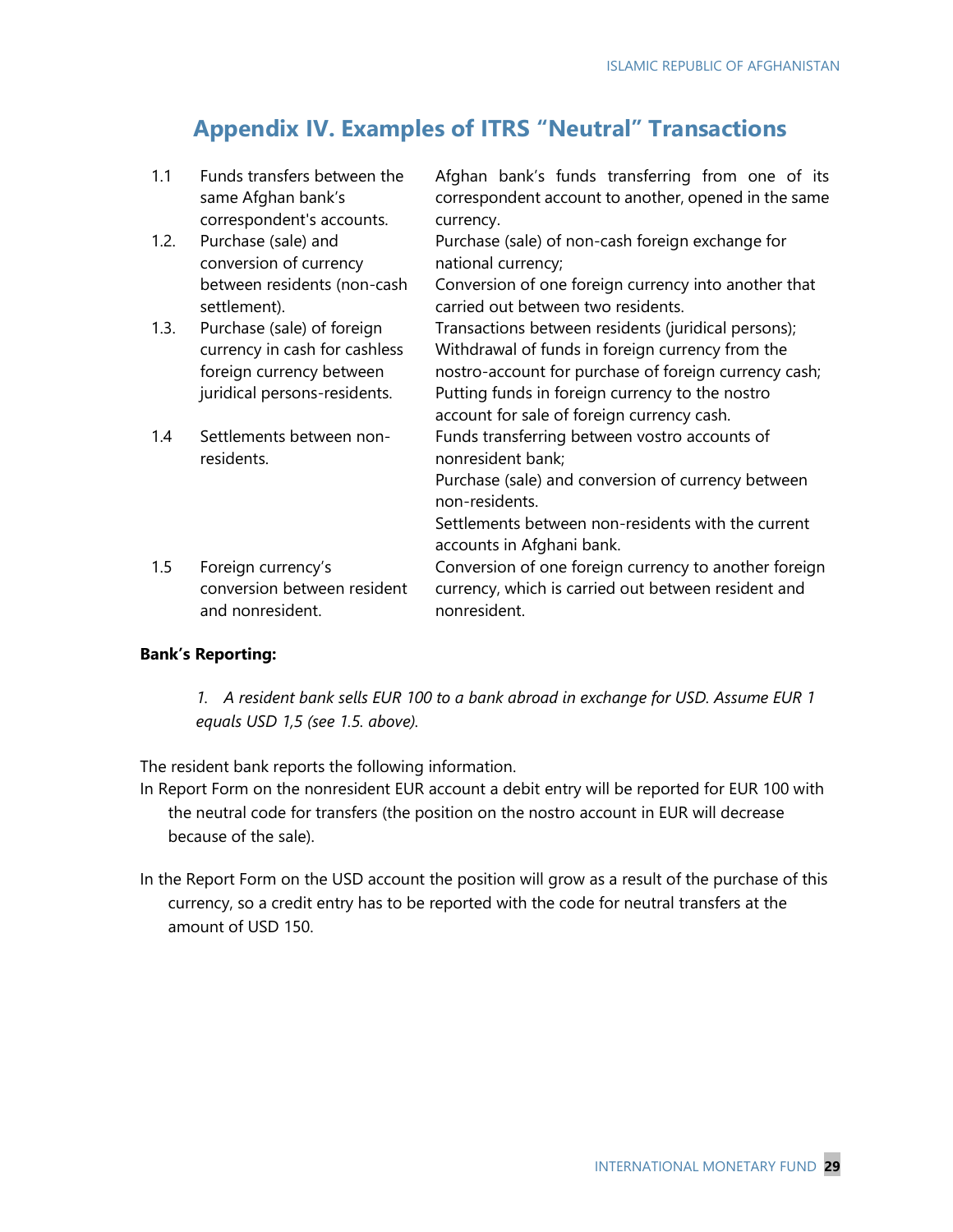## **Appendix IV. Examples of ITRS "Neutral" Transactions**

1.1 Funds transfers between the same Afghan bank's correspondent's accounts. Afghan bank's funds transferring from one of its correspondent account to another, opened in the same currency. 1.2. Purchase (sale) and conversion of currency between residents (non-cash settlement). Purchase (sale) of non-cash foreign exchange for national currency; Conversion of one foreign currency into another that carried out between two residents. 1.3. Purchase (sale) of foreign currency in cash for cashless foreign currency between juridical persons-residents. Transactions between residents (juridical persons); Withdrawal of funds in foreign currency from the nostro-account for purchase of foreign currency cash; Putting funds in foreign currency to the nostro account for sale of foreign currency cash. 1.4 Settlements between nonresidents. Funds transferring between vostro accounts of nonresident bank; Purchase (sale) and conversion of currency between non-residents. Settlements between non-residents with the current accounts in Afghani bank. 1.5 Foreign currency's conversion between resident and nonresident. Conversion of one foreign currency to another foreign currency, which is carried out between resident and nonresident.

#### **Bank's Reporting:**

*1. A resident bank sells EUR 100 to a bank abroad in exchange for USD. Assume EUR 1 equals USD 1,5 (see 1.5. above).*

The resident bank reports the following information.

In Report Form on the nonresident EUR account a debit entry will be reported for EUR 100 with the neutral code for transfers (the position on the nostro account in EUR will decrease because of the sale).

In the Report Form on the USD account the position will grow as a result of the purchase of this currency, so a credit entry has to be reported with the code for neutral transfers at the amount of USD 150.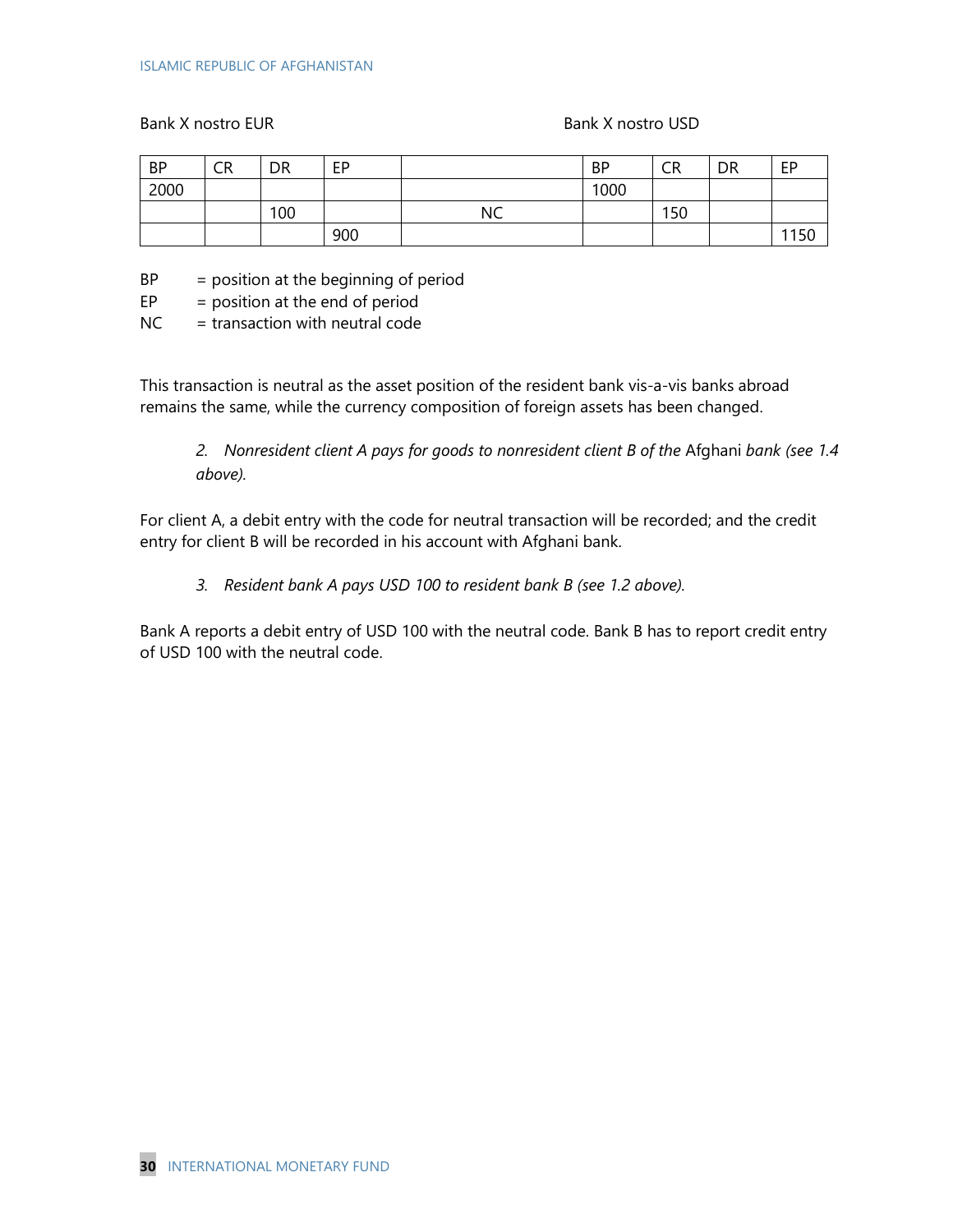Bank X nostro EUR Bank X nostro USD

| <b>BP</b> | CR | <b>DR</b> | EP  |           | <b>BP</b> | CR  | DR | EP   |
|-----------|----|-----------|-----|-----------|-----------|-----|----|------|
| 2000      |    |           |     |           | 1000      |     |    |      |
|           |    | 100       |     | <b>NC</b> |           | 150 |    |      |
|           |    |           | 900 |           |           |     |    | 1150 |

 $BP = position at the beginning of period$ 

 $EP = position at the end of period$ 

 $NC =$  transaction with neutral code

This transaction is neutral as the asset position of the resident bank vis-a-vis banks abroad remains the same, while the currency composition of foreign assets has been changed.

*2. Nonresident client A pays for goods to nonresident client В of the* Afghani *bank (see 1.4 above).*

For client A, a debit entry with the code for neutral transaction will be recorded; and the credit entry for client B will be recorded in his account with Afghani bank.

*3. Resident bank A pays USD 100 to resident bank B (see 1.2 above).*

Bank A reports a debit entry of USD 100 with the neutral code. Bank B has to report credit entry of USD 100 with the neutral code.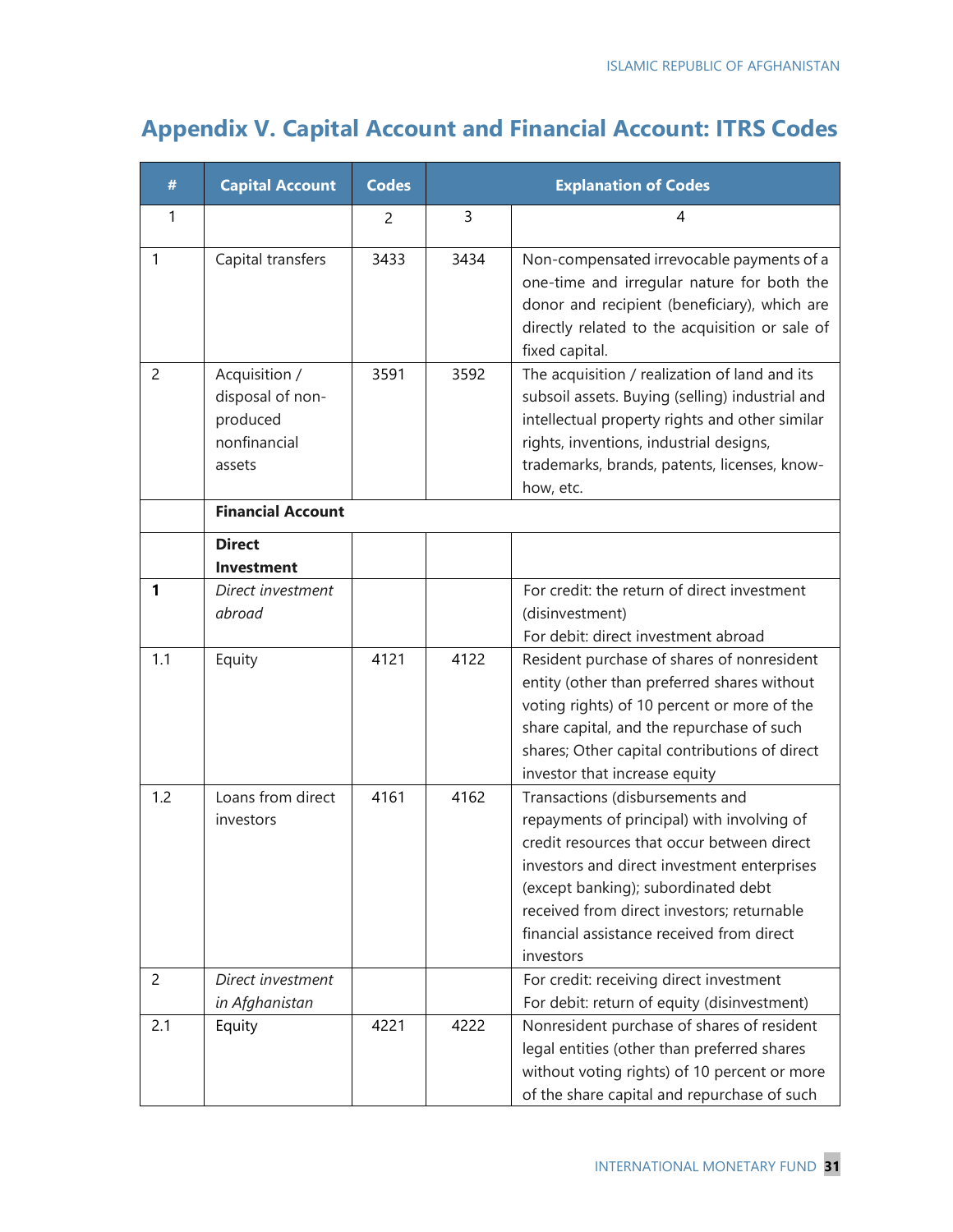## **Appendix V. Capital Account and Financial Account: ITRS Codes**

| #              | <b>Capital Account</b>                                                  | <b>Codes</b> |      | <b>Explanation of Codes</b>                                                                                                                                                                                                                                                                                               |
|----------------|-------------------------------------------------------------------------|--------------|------|---------------------------------------------------------------------------------------------------------------------------------------------------------------------------------------------------------------------------------------------------------------------------------------------------------------------------|
| 1              |                                                                         | 2            | 3    | 4                                                                                                                                                                                                                                                                                                                         |
| $\mathbf{1}$   | Capital transfers                                                       | 3433         | 3434 | Non-compensated irrevocable payments of a<br>one-time and irregular nature for both the<br>donor and recipient (beneficiary), which are<br>directly related to the acquisition or sale of<br>fixed capital.                                                                                                               |
| $\overline{c}$ | Acquisition /<br>disposal of non-<br>produced<br>nonfinancial<br>assets | 3591         | 3592 | The acquisition / realization of land and its<br>subsoil assets. Buying (selling) industrial and<br>intellectual property rights and other similar<br>rights, inventions, industrial designs,<br>trademarks, brands, patents, licenses, know-<br>how, etc.                                                                |
|                | <b>Financial Account</b>                                                |              |      |                                                                                                                                                                                                                                                                                                                           |
|                | <b>Direct</b><br><b>Investment</b>                                      |              |      |                                                                                                                                                                                                                                                                                                                           |
| 1              | Direct investment<br>abroad                                             |              |      | For credit: the return of direct investment<br>(disinvestment)<br>For debit: direct investment abroad                                                                                                                                                                                                                     |
| 1.1            | Equity                                                                  | 4121         | 4122 | Resident purchase of shares of nonresident<br>entity (other than preferred shares without<br>voting rights) of 10 percent or more of the<br>share capital, and the repurchase of such<br>shares; Other capital contributions of direct<br>investor that increase equity                                                   |
| 1.2            | Loans from direct<br>investors                                          | 4161         | 4162 | Transactions (disbursements and<br>repayments of principal) with involving of<br>credit resources that occur between direct<br>investors and direct investment enterprises<br>(except banking); subordinated debt<br>received from direct investors; returnable<br>financial assistance received from direct<br>investors |
| 2              | Direct investment                                                       |              |      | For credit: receiving direct investment                                                                                                                                                                                                                                                                                   |
| 2.1            | in Afghanistan<br>Equity                                                | 4221         | 4222 | For debit: return of equity (disinvestment)<br>Nonresident purchase of shares of resident<br>legal entities (other than preferred shares<br>without voting rights) of 10 percent or more<br>of the share capital and repurchase of such                                                                                   |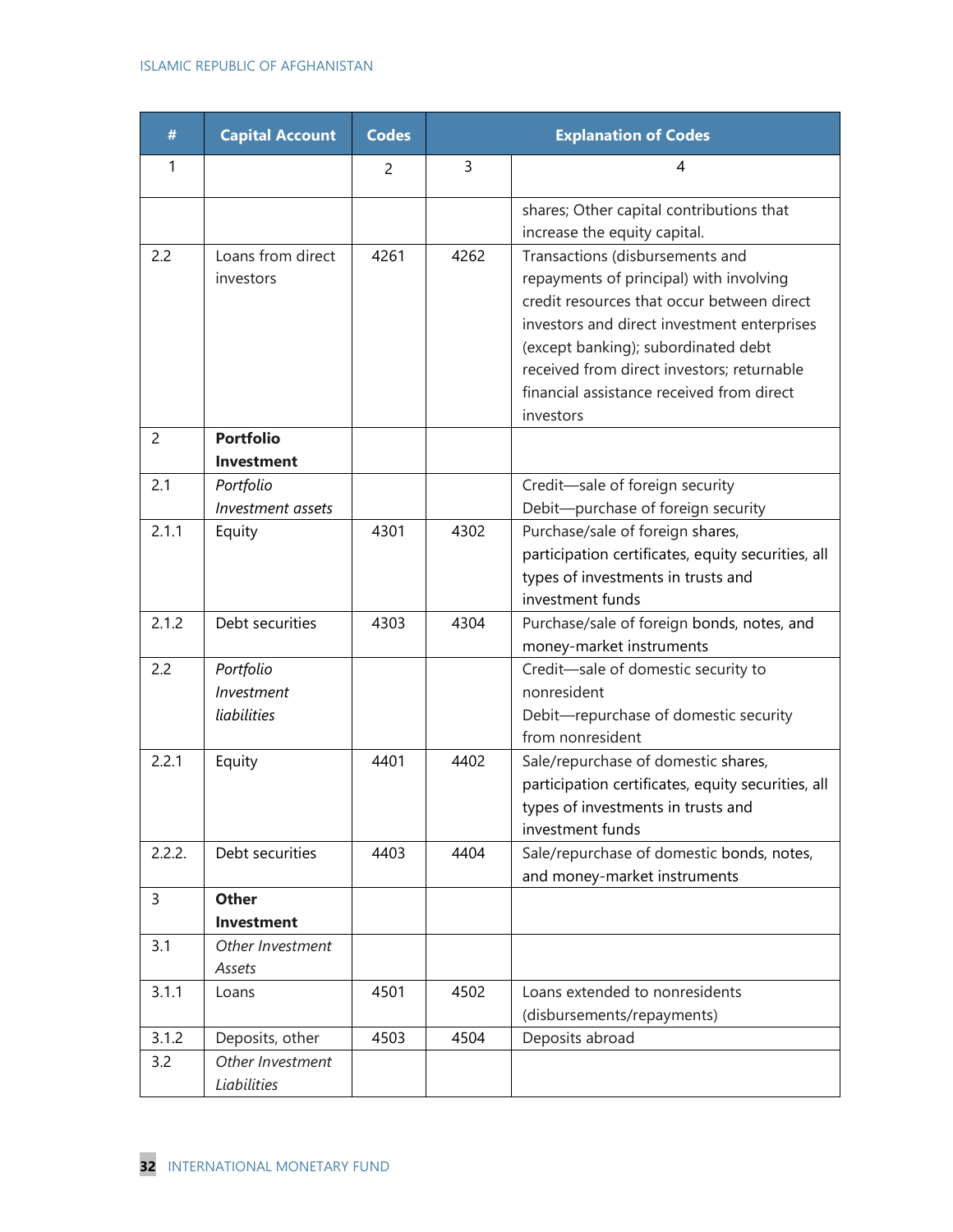#### ISLAMIC REPUBLIC OF AFGHANISTAN

| #              | <b>Capital Account</b>                 | <b>Codes</b> |      | <b>Explanation of Codes</b>                                                                                                                                                                                                                                                                                            |
|----------------|----------------------------------------|--------------|------|------------------------------------------------------------------------------------------------------------------------------------------------------------------------------------------------------------------------------------------------------------------------------------------------------------------------|
| 1              |                                        | 2            | 3    | 4                                                                                                                                                                                                                                                                                                                      |
|                |                                        |              |      | shares; Other capital contributions that<br>increase the equity capital.                                                                                                                                                                                                                                               |
| 2.2            | Loans from direct<br>investors         | 4261         | 4262 | Transactions (disbursements and<br>repayments of principal) with involving<br>credit resources that occur between direct<br>investors and direct investment enterprises<br>(except banking); subordinated debt<br>received from direct investors; returnable<br>financial assistance received from direct<br>investors |
| $\overline{c}$ | <b>Portfolio</b><br><b>Investment</b>  |              |      |                                                                                                                                                                                                                                                                                                                        |
| 2.1            | Portfolio<br>Investment assets         |              |      | Credit-sale of foreign security<br>Debit-purchase of foreign security                                                                                                                                                                                                                                                  |
| 2.1.1          | Equity                                 | 4301         | 4302 | Purchase/sale of foreign shares,<br>participation certificates, equity securities, all<br>types of investments in trusts and<br>investment funds                                                                                                                                                                       |
| 2.1.2          | Debt securities                        | 4303         | 4304 | Purchase/sale of foreign bonds, notes, and<br>money-market instruments                                                                                                                                                                                                                                                 |
| 2.2            | Portfolio<br>Investment<br>liabilities |              |      | Credit-sale of domestic security to<br>nonresident<br>Debit-repurchase of domestic security<br>from nonresident                                                                                                                                                                                                        |
| 2.2.1          | Equity                                 | 4401         | 4402 | Sale/repurchase of domestic shares,<br>participation certificates, equity securities, all<br>types of investments in trusts and<br>investment funds                                                                                                                                                                    |
| 2.2.2.         | Debt securities                        | 4403         | 4404 | Sale/repurchase of domestic bonds, notes,<br>and money-market instruments                                                                                                                                                                                                                                              |
| 3              | <b>Other</b><br><b>Investment</b>      |              |      |                                                                                                                                                                                                                                                                                                                        |
| 3.1            | Other Investment<br>Assets             |              |      |                                                                                                                                                                                                                                                                                                                        |
| 3.1.1          | Loans                                  | 4501         | 4502 | Loans extended to nonresidents<br>(disbursements/repayments)                                                                                                                                                                                                                                                           |
| 3.1.2          | Deposits, other                        | 4503         | 4504 | Deposits abroad                                                                                                                                                                                                                                                                                                        |
| 3.2            | Other Investment<br>Liabilities        |              |      |                                                                                                                                                                                                                                                                                                                        |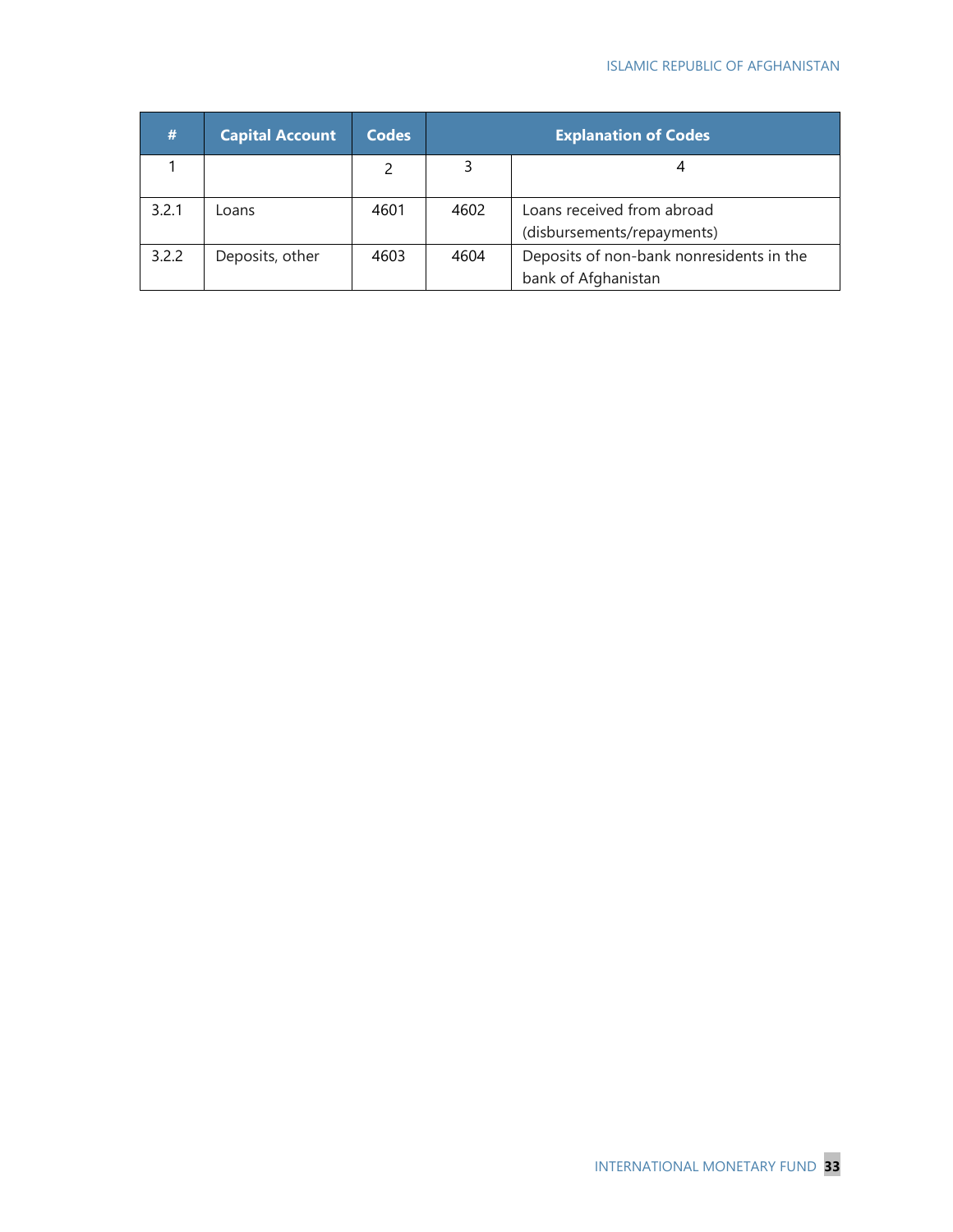| #     | <b>Capital Account</b> | <b>Codes</b> | <b>Explanation of Codes</b> |                                                                 |
|-------|------------------------|--------------|-----------------------------|-----------------------------------------------------------------|
|       |                        |              |                             |                                                                 |
| 3.2.1 | Loans                  | 4601         | 4602                        | Loans received from abroad<br>(disbursements/repayments)        |
| 3.2.2 | Deposits, other        | 4603         | 4604                        | Deposits of non-bank nonresidents in the<br>bank of Afghanistan |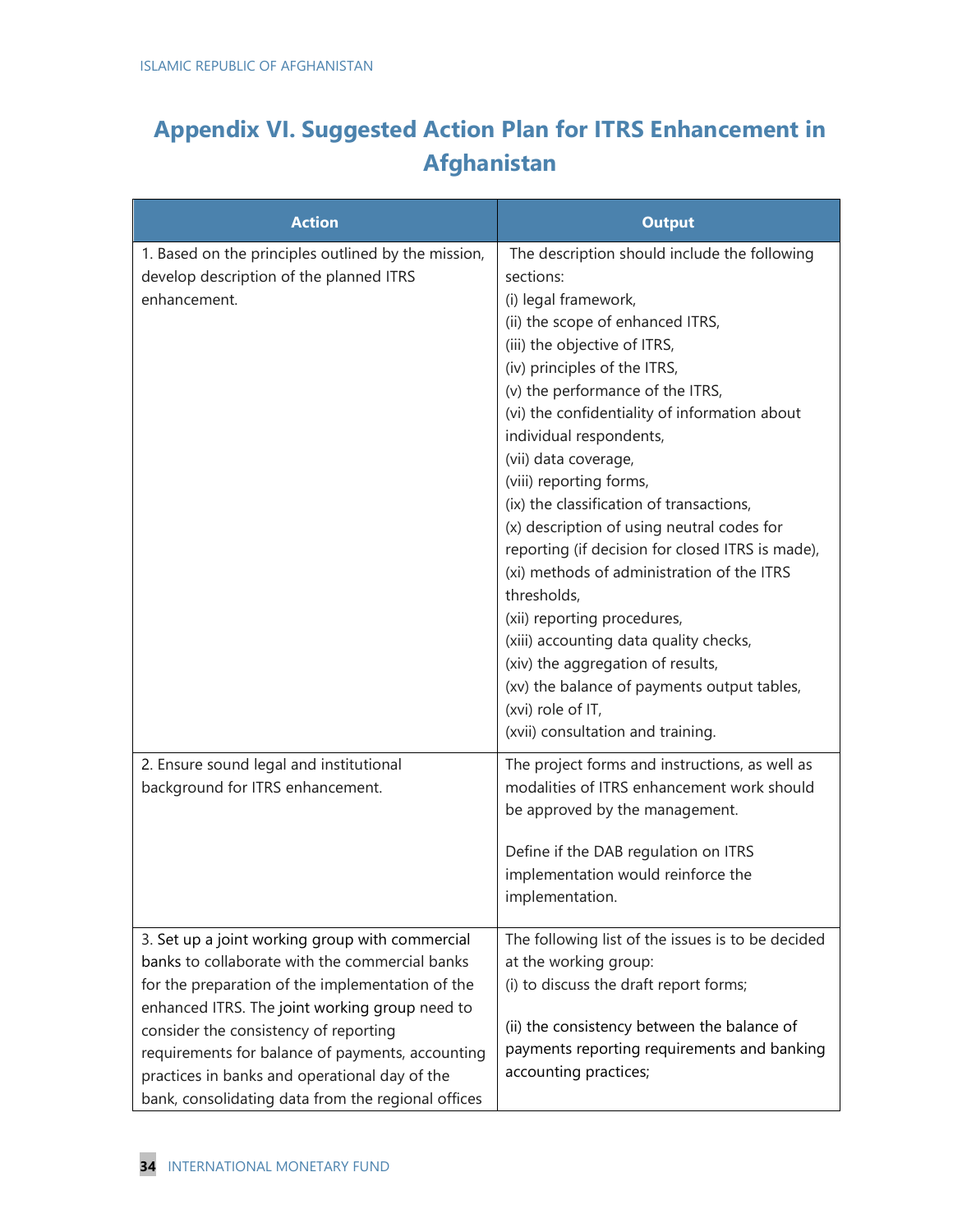## **Appendix VI. Suggested Action Plan for ITRS Enhancement in Afghanistan**

| <b>Action</b>                                                                                                                                                                                                                                                                                                                                                                                               | <b>Output</b>                                                                                                                                                                                                                                                                                                                                                                                                                                                                                                                                                                                                                                                                                                                                                                              |
|-------------------------------------------------------------------------------------------------------------------------------------------------------------------------------------------------------------------------------------------------------------------------------------------------------------------------------------------------------------------------------------------------------------|--------------------------------------------------------------------------------------------------------------------------------------------------------------------------------------------------------------------------------------------------------------------------------------------------------------------------------------------------------------------------------------------------------------------------------------------------------------------------------------------------------------------------------------------------------------------------------------------------------------------------------------------------------------------------------------------------------------------------------------------------------------------------------------------|
| 1. Based on the principles outlined by the mission,<br>develop description of the planned ITRS<br>enhancement.                                                                                                                                                                                                                                                                                              | The description should include the following<br>sections:<br>(i) legal framework,<br>(ii) the scope of enhanced ITRS,<br>(iii) the objective of ITRS,<br>(iv) principles of the ITRS,<br>(v) the performance of the ITRS,<br>(vi) the confidentiality of information about<br>individual respondents,<br>(vii) data coverage,<br>(viii) reporting forms,<br>(ix) the classification of transactions,<br>(x) description of using neutral codes for<br>reporting (if decision for closed ITRS is made),<br>(xi) methods of administration of the ITRS<br>thresholds,<br>(xii) reporting procedures,<br>(xiii) accounting data quality checks,<br>(xiv) the aggregation of results,<br>(xv) the balance of payments output tables,<br>(xvi) role of IT,<br>(xvii) consultation and training. |
| 2. Ensure sound legal and institutional<br>background for ITRS enhancement.                                                                                                                                                                                                                                                                                                                                 | The project forms and instructions, as well as<br>modalities of ITRS enhancement work should<br>be approved by the management.<br>Define if the DAB regulation on ITRS<br>implementation would reinforce the<br>implementation.                                                                                                                                                                                                                                                                                                                                                                                                                                                                                                                                                            |
| 3. Set up a joint working group with commercial<br>banks to collaborate with the commercial banks<br>for the preparation of the implementation of the<br>enhanced ITRS. The joint working group need to<br>consider the consistency of reporting<br>requirements for balance of payments, accounting<br>practices in banks and operational day of the<br>bank, consolidating data from the regional offices | The following list of the issues is to be decided<br>at the working group:<br>(i) to discuss the draft report forms;<br>(ii) the consistency between the balance of<br>payments reporting requirements and banking<br>accounting practices;                                                                                                                                                                                                                                                                                                                                                                                                                                                                                                                                                |